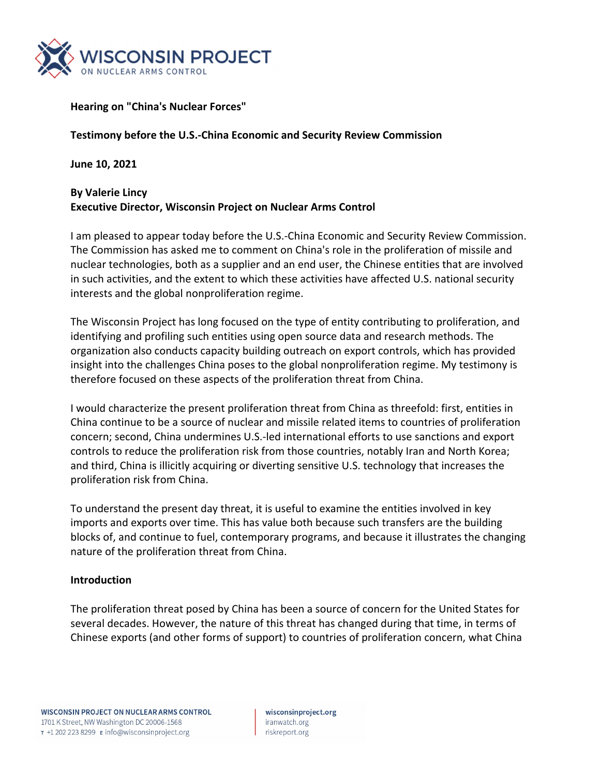

#### **Hearing on "China's Nuclear Forces"**

#### **Testimony before the U.S.‐China Economic and Security Review Commission**

**June 10, 2021**

#### **By Valerie Lincy Executive Director, Wisconsin Project on Nuclear Arms Control**

I am pleased to appear today before the U.S.‐China Economic and Security Review Commission. The Commission has asked me to comment on China's role in the proliferation of missile and nuclear technologies, both as a supplier and an end user, the Chinese entities that are involved in such activities, and the extent to which these activities have affected U.S. national security interests and the global nonproliferation regime.

The Wisconsin Project has long focused on the type of entity contributing to proliferation, and identifying and profiling such entities using open source data and research methods. The organization also conducts capacity building outreach on export controls, which has provided insight into the challenges China poses to the global nonproliferation regime. My testimony is therefore focused on these aspects of the proliferation threat from China.

I would characterize the present proliferation threat from China as threefold: first, entities in China continue to be a source of nuclear and missile related items to countries of proliferation concern; second, China undermines U.S.‐led international efforts to use sanctions and export controls to reduce the proliferation risk from those countries, notably Iran and North Korea; and third, China is illicitly acquiring or diverting sensitive U.S. technology that increases the proliferation risk from China.

To understand the present day threat, it is useful to examine the entities involved in key imports and exports over time. This has value both because such transfers are the building blocks of, and continue to fuel, contemporary programs, and because it illustrates the changing nature of the proliferation threat from China.

#### **Introduction**

The proliferation threat posed by China has been a source of concern for the United States for several decades. However, the nature of this threat has changed during that time, in terms of Chinese exports (and other forms of support) to countries of proliferation concern, what China

wisconsinproject.org iranwatch.org riskreport.org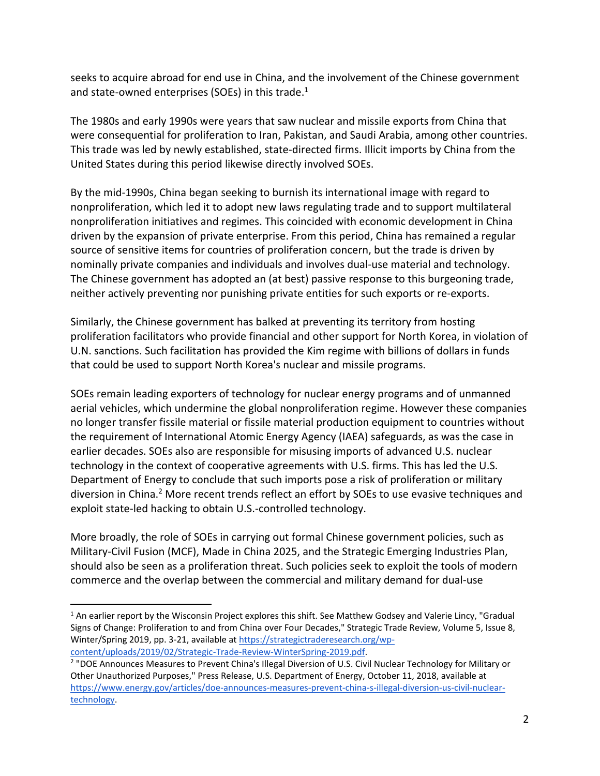seeks to acquire abroad for end use in China, and the involvement of the Chinese government and state-owned enterprises (SOEs) in this trade.<sup>1</sup>

The 1980s and early 1990s were years that saw nuclear and missile exports from China that were consequential for proliferation to Iran, Pakistan, and Saudi Arabia, among other countries. This trade was led by newly established, state‐directed firms. Illicit imports by China from the United States during this period likewise directly involved SOEs.

By the mid‐1990s, China began seeking to burnish its international image with regard to nonproliferation, which led it to adopt new laws regulating trade and to support multilateral nonproliferation initiatives and regimes. This coincided with economic development in China driven by the expansion of private enterprise. From this period, China has remained a regular source of sensitive items for countries of proliferation concern, but the trade is driven by nominally private companies and individuals and involves dual‐use material and technology. The Chinese government has adopted an (at best) passive response to this burgeoning trade, neither actively preventing nor punishing private entities for such exports or re‐exports.

Similarly, the Chinese government has balked at preventing its territory from hosting proliferation facilitators who provide financial and other support for North Korea, in violation of U.N. sanctions. Such facilitation has provided the Kim regime with billions of dollars in funds that could be used to support North Korea's nuclear and missile programs.

SOEs remain leading exporters of technology for nuclear energy programs and of unmanned aerial vehicles, which undermine the global nonproliferation regime. However these companies no longer transfer fissile material or fissile material production equipment to countries without the requirement of International Atomic Energy Agency (IAEA) safeguards, as was the case in earlier decades. SOEs also are responsible for misusing imports of advanced U.S. nuclear technology in the context of cooperative agreements with U.S. firms. This has led the U.S. Department of Energy to conclude that such imports pose a risk of proliferation or military diversion in China.<sup>2</sup> More recent trends reflect an effort by SOEs to use evasive techniques and exploit state‐led hacking to obtain U.S.‐controlled technology.

More broadly, the role of SOEs in carrying out formal Chinese government policies, such as Military‐Civil Fusion (MCF), Made in China 2025, and the Strategic Emerging Industries Plan, should also be seen as a proliferation threat. Such policies seek to exploit the tools of modern commerce and the overlap between the commercial and military demand for dual‐use

 $1$  An earlier report by the Wisconsin Project explores this shift. See Matthew Godsey and Valerie Lincy, "Gradual Signs of Change: Proliferation to and from China over Four Decades," Strategic Trade Review, Volume 5, Issue 8, Winter/Spring 2019, pp. 3-21, available at https://strategictraderesearch.org/wpcontent/uploads/2019/02/Strategic‐Trade‐Review‐WinterSpring‐2019.pdf.

<sup>&</sup>lt;sup>2</sup> "DOE Announces Measures to Prevent China's Illegal Diversion of U.S. Civil Nuclear Technology for Military or Other Unauthorized Purposes," Press Release, U.S. Department of Energy, October 11, 2018, available at https://www.energy.gov/articles/doe‐announces‐measures‐prevent‐china‐s‐illegal‐diversion‐us‐civil‐nuclear‐ technology.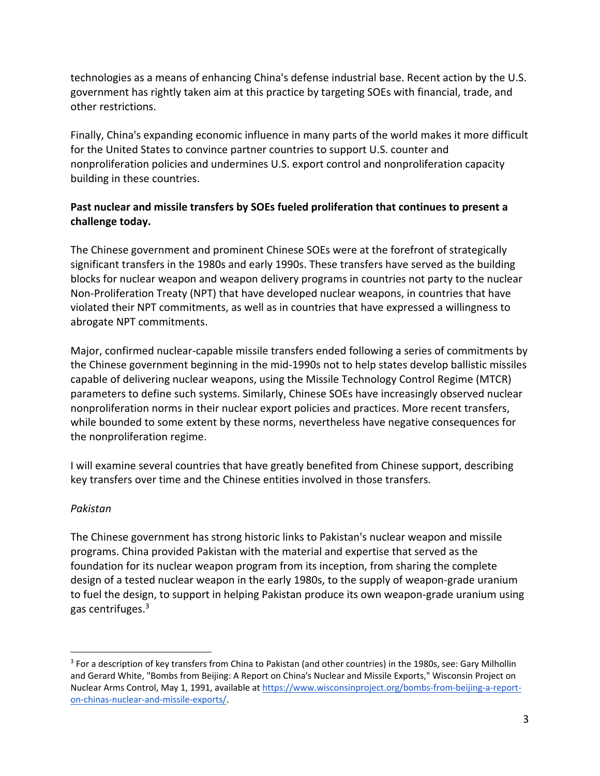technologies as a means of enhancing China's defense industrial base. Recent action by the U.S. government has rightly taken aim at this practice by targeting SOEs with financial, trade, and other restrictions.

Finally, China's expanding economic influence in many parts of the world makes it more difficult for the United States to convince partner countries to support U.S. counter and nonproliferation policies and undermines U.S. export control and nonproliferation capacity building in these countries.

## **Past nuclear and missile transfers by SOEs fueled proliferation that continues to present a challenge today.**

The Chinese government and prominent Chinese SOEs were at the forefront of strategically significant transfers in the 1980s and early 1990s. These transfers have served as the building blocks for nuclear weapon and weapon delivery programs in countries not party to the nuclear Non-Proliferation Treaty (NPT) that have developed nuclear weapons, in countries that have violated their NPT commitments, as well as in countries that have expressed a willingness to abrogate NPT commitments.

Major, confirmed nuclear‐capable missile transfers ended following a series of commitments by the Chinese government beginning in the mid‐1990s not to help states develop ballistic missiles capable of delivering nuclear weapons, using the Missile Technology Control Regime (MTCR) parameters to define such systems. Similarly, Chinese SOEs have increasingly observed nuclear nonproliferation norms in their nuclear export policies and practices. More recent transfers, while bounded to some extent by these norms, nevertheless have negative consequences for the nonproliferation regime.

I will examine several countries that have greatly benefited from Chinese support, describing key transfers over time and the Chinese entities involved in those transfers.

## *Pakistan*

 $\overline{a}$ 

The Chinese government has strong historic links to Pakistan's nuclear weapon and missile programs. China provided Pakistan with the material and expertise that served as the foundation for its nuclear weapon program from its inception, from sharing the complete design of a tested nuclear weapon in the early 1980s, to the supply of weapon‐grade uranium to fuel the design, to support in helping Pakistan produce its own weapon‐grade uranium using gas centrifuges.3

<sup>&</sup>lt;sup>3</sup> For a description of key transfers from China to Pakistan (and other countries) in the 1980s, see: Gary Milhollin and Gerard White, "Bombs from Beijing: A Report on China's Nuclear and Missile Exports," Wisconsin Project on Nuclear Arms Control, May 1, 1991, available at https://www.wisconsinproject.org/bombs-from-beijing-a-reporton‐chinas‐nuclear‐and‐missile‐exports/.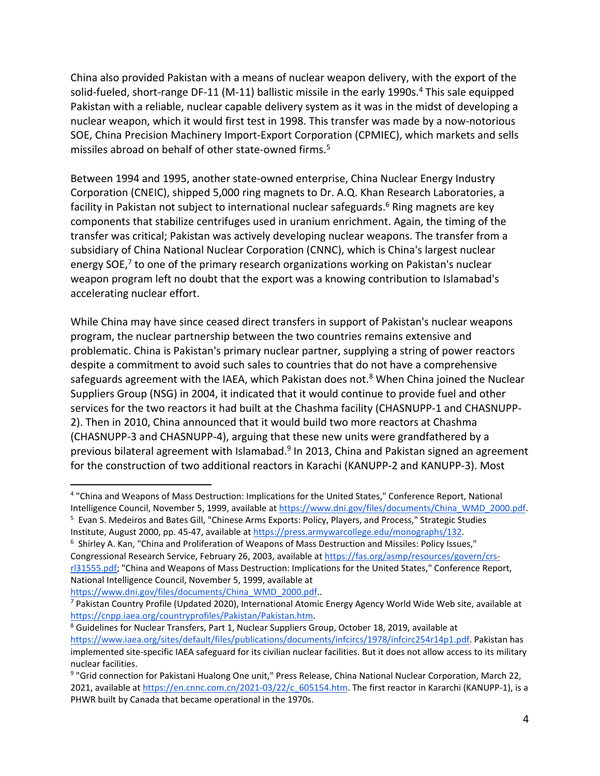China also provided Pakistan with a means of nuclear weapon delivery, with the export of the solid-fueled, short-range DF-11 (M-11) ballistic missile in the early 1990s.<sup>4</sup> This sale equipped Pakistan with a reliable, nuclear capable delivery system as it was in the midst of developing a nuclear weapon, which it would first test in 1998. This transfer was made by a now‐notorious SOE, China Precision Machinery Import‐Export Corporation (CPMIEC), which markets and sells missiles abroad on behalf of other state-owned firms.<sup>5</sup>

Between 1994 and 1995, another state‐owned enterprise, China Nuclear Energy Industry Corporation (CNEIC), shipped 5,000 ring magnets to Dr. A.Q. Khan Research Laboratories, a facility in Pakistan not subject to international nuclear safeguards.<sup>6</sup> Ring magnets are key components that stabilize centrifuges used in uranium enrichment. Again, the timing of the transfer was critical; Pakistan was actively developing nuclear weapons. The transfer from a subsidiary of China National Nuclear Corporation (CNNC), which is China's largest nuclear energy SOE, $7$  to one of the primary research organizations working on Pakistan's nuclear weapon program left no doubt that the export was a knowing contribution to Islamabad's accelerating nuclear effort.

While China may have since ceased direct transfers in support of Pakistan's nuclear weapons program, the nuclear partnership between the two countries remains extensive and problematic. China is Pakistan's primary nuclear partner, supplying a string of power reactors despite a commitment to avoid such sales to countries that do not have a comprehensive safeguards agreement with the IAEA, which Pakistan does not. $8$  When China joined the Nuclear Suppliers Group (NSG) in 2004, it indicated that it would continue to provide fuel and other services for the two reactors it had built at the Chashma facility (CHASNUPP‐1 and CHASNUPP‐ 2). Then in 2010, China announced that it would build two more reactors at Chashma (CHASNUPP‐3 and CHASNUPP‐4), arguing that these new units were grandfathered by a previous bilateral agreement with Islamabad.<sup>9</sup> In 2013, China and Pakistan signed an agreement for the construction of two additional reactors in Karachi (KANUPP‐2 and KANUPP‐3). Most

https://www.dni.gov/files/documents/China\_WMD\_2000.pdf..

<sup>4</sup> "China and Weapons of Mass Destruction: Implications for the United States," Conference Report, National Intelligence Council, November 5, 1999, available at https://www.dni.gov/files/documents/China\_WMD\_2000.pdf. 5 Evan S. Medeiros and Bates Gill, "Chinese Arms Exports: Policy, Players, and Process," Strategic Studies

Institute, August 2000, pp. 45‐47, available at https://press.armywarcollege.edu/monographs/132.

<sup>&</sup>lt;sup>6</sup> Shirley A. Kan, "China and Proliferation of Weapons of Mass Destruction and Missiles: Policy Issues," Congressional Research Service, February 26, 2003, available at https://fas.org/asmp/resources/govern/crs‐ rl31555.pdf; "China and Weapons of Mass Destruction: Implications for the United States," Conference Report, National Intelligence Council, November 5, 1999, available at

<sup>&</sup>lt;sup>7</sup> Pakistan Country Profile (Updated 2020), International Atomic Energy Agency World Wide Web site, available at https://cnpp.iaea.org/countryprofiles/Pakistan/Pakistan.htm.

<sup>8</sup> Guidelines for Nuclear Transfers, Part 1, Nuclear Suppliers Group, October 18, 2019, available at https://www.iaea.org/sites/default/files/publications/documents/infcircs/1978/infcirc254r14p1.pdf. Pakistan has implemented site-specific IAEA safeguard for its civilian nuclear facilities. But it does not allow access to its military nuclear facilities.

<sup>&</sup>lt;sup>9</sup> "Grid connection for Pakistani Hualong One unit," Press Release, China National Nuclear Corporation, March 22, 2021, available at https://en.cnnc.com.cn/2021-03/22/c 605154.htm. The first reactor in Kararchi (KANUPP-1), is a PHWR built by Canada that became operational in the 1970s.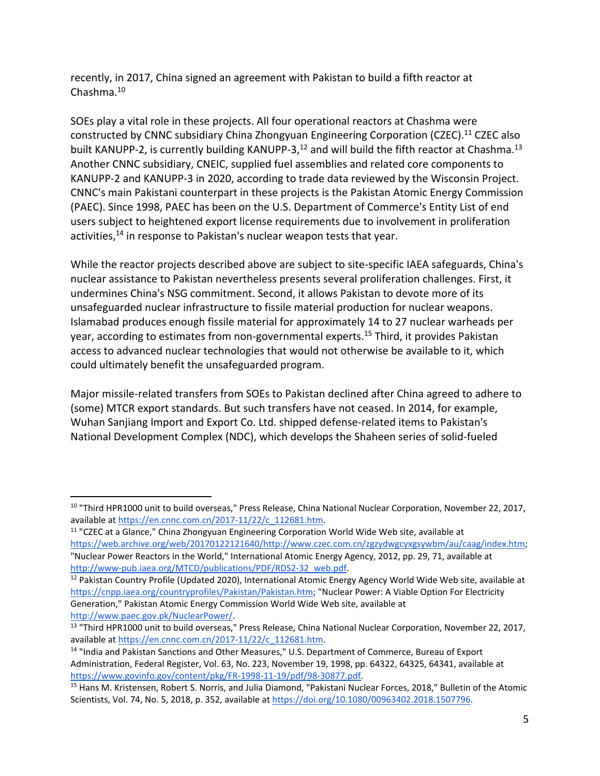recently, in 2017, China signed an agreement with Pakistan to build a fifth reactor at Chashma.10

SOEs play a vital role in these projects. All four operational reactors at Chashma were constructed by CNNC subsidiary China Zhongyuan Engineering Corporation (CZEC).11 CZEC also built KANUPP-2, is currently building KANUPP-3,<sup>12</sup> and will build the fifth reactor at Chashma.<sup>13</sup> Another CNNC subsidiary, CNEIC, supplied fuel assemblies and related core components to KANUPP‐2 and KANUPP‐3 in 2020, according to trade data reviewed by the Wisconsin Project. CNNC's main Pakistani counterpart in these projects is the Pakistan Atomic Energy Commission (PAEC). Since 1998, PAEC has been on the U.S. Department of Commerce's Entity List of end users subject to heightened export license requirements due to involvement in proliferation activities,<sup>14</sup> in response to Pakistan's nuclear weapon tests that year.

While the reactor projects described above are subject to site-specific IAEA safeguards, China's nuclear assistance to Pakistan nevertheless presents several proliferation challenges. First, it undermines China's NSG commitment. Second, it allows Pakistan to devote more of its unsafeguarded nuclear infrastructure to fissile material production for nuclear weapons. Islamabad produces enough fissile material for approximately 14 to 27 nuclear warheads per year, according to estimates from non-governmental experts.<sup>15</sup> Third, it provides Pakistan access to advanced nuclear technologies that would not otherwise be available to it, which could ultimately benefit the unsafeguarded program.

Major missile‐related transfers from SOEs to Pakistan declined after China agreed to adhere to (some) MTCR export standards. But such transfers have not ceased. In 2014, for example, Wuhan Sanjiang Import and Export Co. Ltd. shipped defense-related items to Pakistan's National Development Complex (NDC), which develops the Shaheen series of solid‐fueled

 $\overline{a}$ <sup>10</sup> "Third HPR1000 unit to build overseas," Press Release, China National Nuclear Corporation, November 22, 2017, available at https://en.cnnc.com.cn/2017‐11/22/c\_112681.htm.

<sup>&</sup>lt;sup>11</sup> "CZEC at a Glance," China Zhongyuan Engineering Corporation World Wide Web site, available at https://web.archive.org/web/20170122121640/http://www.czec.com.cn/zgzydwgcyxgsywbm/au/caag/index.htm; "Nuclear Power Reactors in the World," International Atomic Energy Agency, 2012, pp. 29, 71, available at http://www-pub.iaea.org/MTCD/publications/PDF/RDS2-32\_web.pdf.

<sup>&</sup>lt;sup>12</sup> Pakistan Country Profile (Updated 2020), International Atomic Energy Agency World Wide Web site, available at https://cnpp.iaea.org/countryprofiles/Pakistan/Pakistan.htm; "Nuclear Power: A Viable Option For Electricity Generation," Pakistan Atomic Energy Commission World Wide Web site, available at http://www.paec.gov.pk/NuclearPower/.

<sup>&</sup>lt;sup>13</sup> "Third HPR1000 unit to build overseas," Press Release, China National Nuclear Corporation, November 22, 2017, available at https://en.cnnc.com.cn/2017‐11/22/c\_112681.htm.

<sup>&</sup>lt;sup>14</sup> "India and Pakistan Sanctions and Other Measures," U.S. Department of Commerce, Bureau of Export Administration, Federal Register, Vol. 63, No. 223, November 19, 1998, pp. 64322, 64325, 64341, available at https://www.govinfo.gov/content/pkg/FR‐1998‐11‐19/pdf/98‐30877.pdf.

<sup>&</sup>lt;sup>15</sup> Hans M. Kristensen, Robert S. Norris, and Julia Diamond, "Pakistani Nuclear Forces, 2018," Bulletin of the Atomic Scientists, Vol. 74, No. 5, 2018, p. 352, available at https://doi.org/10.1080/00963402.2018.1507796.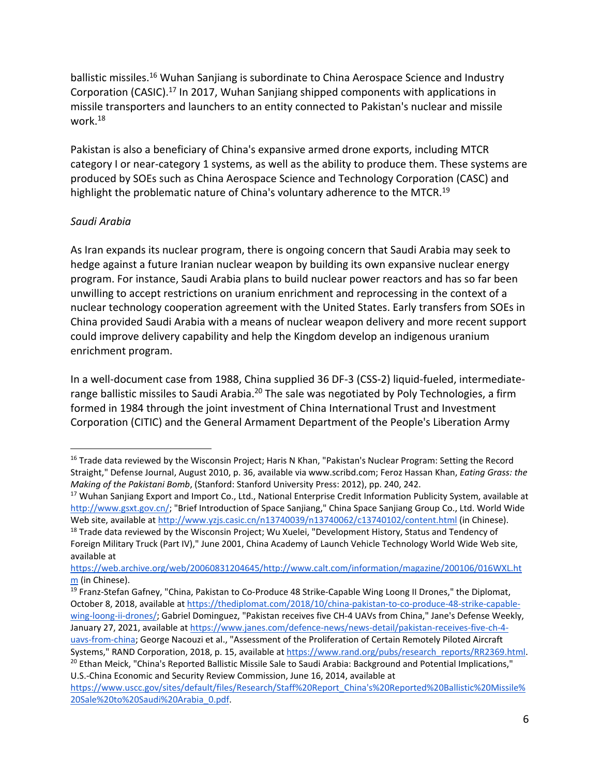ballistic missiles.16 Wuhan Sanjiang is subordinate to China Aerospace Science and Industry Corporation (CASIC).17 In 2017, Wuhan Sanjiang shipped components with applications in missile transporters and launchers to an entity connected to Pakistan's nuclear and missile work.18

Pakistan is also a beneficiary of China's expansive armed drone exports, including MTCR category I or near-category 1 systems, as well as the ability to produce them. These systems are produced by SOEs such as China Aerospace Science and Technology Corporation (CASC) and highlight the problematic nature of China's voluntary adherence to the MTCR.<sup>19</sup>

### *Saudi Arabia*

 $\overline{a}$ 

As Iran expands its nuclear program, there is ongoing concern that Saudi Arabia may seek to hedge against a future Iranian nuclear weapon by building its own expansive nuclear energy program. For instance, Saudi Arabia plans to build nuclear power reactors and has so far been unwilling to accept restrictions on uranium enrichment and reprocessing in the context of a nuclear technology cooperation agreement with the United States. Early transfers from SOEs in China provided Saudi Arabia with a means of nuclear weapon delivery and more recent support could improve delivery capability and help the Kingdom develop an indigenous uranium enrichment program.

In a well‐document case from 1988, China supplied 36 DF‐3 (CSS‐2) liquid‐fueled, intermediate‐ range ballistic missiles to Saudi Arabia.<sup>20</sup> The sale was negotiated by Poly Technologies, a firm formed in 1984 through the joint investment of China International Trust and Investment Corporation (CITIC) and the General Armament Department of the People's Liberation Army

<sup>&</sup>lt;sup>16</sup> Trade data reviewed by the Wisconsin Project; Haris N Khan, "Pakistan's Nuclear Program: Setting the Record Straight," Defense Journal, August 2010, p. 36, available via www.scribd.com; Feroz Hassan Khan, *Eating Grass: the Making of the Pakistani Bomb*, (Stanford: Stanford University Press: 2012), pp. 240, 242.

<sup>&</sup>lt;sup>17</sup> Wuhan Sanjiang Export and Import Co., Ltd., National Enterprise Credit Information Publicity System, available at http://www.gsxt.gov.cn/; "Brief Introduction of Space Sanjiang," China Space Sanjiang Group Co., Ltd. World Wide Web site, available at http://www.yzjs.casic.cn/n13740039/n13740062/c13740102/content.html (in Chinese).

<sup>&</sup>lt;sup>18</sup> Trade data reviewed by the Wisconsin Project; Wu Xuelei, "Development History, Status and Tendency of Foreign Military Truck (Part IV)," June 2001, China Academy of Launch Vehicle Technology World Wide Web site, available at

https://web.archive.org/web/20060831204645/http://www.calt.com/information/magazine/200106/016WXL.ht m (in Chinese).

<sup>&</sup>lt;sup>19</sup> Franz-Stefan Gafney, "China, Pakistan to Co-Produce 48 Strike-Capable Wing Loong II Drones," the Diplomat, October 8, 2018, available at https://thediplomat.com/2018/10/china-pakistan-to-co-produce-48-strike-capablewing-loong-ii-drones/; Gabriel Dominguez, "Pakistan receives five CH-4 UAVs from China," Jane's Defense Weekly, January 27, 2021, available at https://www.janes.com/defence‐news/news‐detail/pakistan‐receives‐five‐ch‐4‐ uavs-from-china; George Nacouzi et al., "Assessment of the Proliferation of Certain Remotely Piloted Aircraft Systems," RAND Corporation, 2018, p. 15, available at https://www.rand.org/pubs/research\_reports/RR2369.html. <sup>20</sup> Ethan Meick, "China's Reported Ballistic Missile Sale to Saudi Arabia: Background and Potential Implications," U.S.‐China Economic and Security Review Commission, June 16, 2014, available at

https://www.uscc.gov/sites/default/files/Research/Staff%20Report\_China's%20Reported%20Ballistic%20Missile% 20Sale%20to%20Saudi%20Arabia\_0.pdf.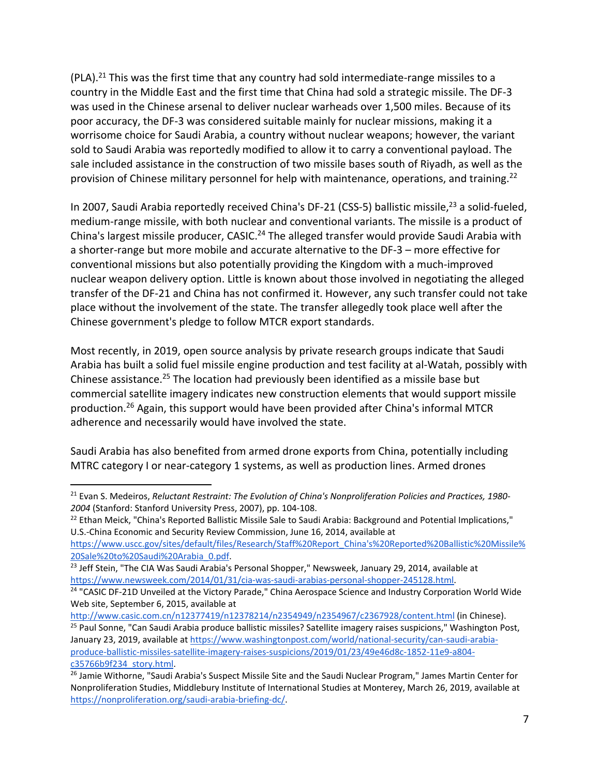$(PLA).<sup>21</sup>$  This was the first time that any country had sold intermediate-range missiles to a country in the Middle East and the first time that China had sold a strategic missile. The DF‐3 was used in the Chinese arsenal to deliver nuclear warheads over 1,500 miles. Because of its poor accuracy, the DF‐3 was considered suitable mainly for nuclear missions, making it a worrisome choice for Saudi Arabia, a country without nuclear weapons; however, the variant sold to Saudi Arabia was reportedly modified to allow it to carry a conventional payload. The sale included assistance in the construction of two missile bases south of Riyadh, as well as the provision of Chinese military personnel for help with maintenance, operations, and training.<sup>22</sup>

In 2007, Saudi Arabia reportedly received China's DF-21 (CSS-5) ballistic missile,<sup>23</sup> a solid-fueled, medium‐range missile, with both nuclear and conventional variants. The missile is a product of China's largest missile producer, CASIC.<sup>24</sup> The alleged transfer would provide Saudi Arabia with a shorter-range but more mobile and accurate alternative to the DF-3 – more effective for conventional missions but also potentially providing the Kingdom with a much‐improved nuclear weapon delivery option. Little is known about those involved in negotiating the alleged transfer of the DF‐21 and China has not confirmed it. However, any such transfer could not take place without the involvement of the state. The transfer allegedly took place well after the Chinese government's pledge to follow MTCR export standards.

Most recently, in 2019, open source analysis by private research groups indicate that Saudi Arabia has built a solid fuel missile engine production and test facility at al‐Watah, possibly with Chinese assistance.25 The location had previously been identified as a missile base but commercial satellite imagery indicates new construction elements that would support missile production.26 Again, this support would have been provided after China's informal MTCR adherence and necessarily would have involved the state.

Saudi Arabia has also benefited from armed drone exports from China, potentially including MTRC category I or near‐category 1 systems, as well as production lines. Armed drones

<sup>22</sup> Ethan Meick, "China's Reported Ballistic Missile Sale to Saudi Arabia: Background and Potential Implications," U.S.‐China Economic and Security Review Commission, June 16, 2014, available at

https://www.uscc.gov/sites/default/files/Research/Staff%20Report\_China's%20Reported%20Ballistic%20Missile% 20Sale%20to%20Saudi%20Arabia\_0.pdf.

<sup>21</sup> Evan S. Medeiros, *Reluctant Restraint: The Evolution of China's Nonproliferation Policies and Practices, 1980‐ 2004* (Stanford: Stanford University Press, 2007), pp. 104‐108.

<sup>&</sup>lt;sup>23</sup> Jeff Stein, "The CIA Was Saudi Arabia's Personal Shopper," Newsweek, January 29, 2014, available at https://www.newsweek.com/2014/01/31/cia‐was‐saudi‐arabias‐personal‐shopper‐245128.html.

<sup>&</sup>lt;sup>24</sup> "CASIC DF-21D Unveiled at the Victory Parade," China Aerospace Science and Industry Corporation World Wide Web site, September 6, 2015, available at

http://www.casic.com.cn/n12377419/n12378214/n2354949/n2354967/c2367928/content.html (in Chinese).

<sup>&</sup>lt;sup>25</sup> Paul Sonne, "Can Saudi Arabia produce ballistic missiles? Satellite imagery raises suspicions," Washington Post, January 23, 2019, available at https://www.washingtonpost.com/world/national-security/can-saudi-arabiaproduce‐ballistic‐missiles‐satellite‐imagery‐raises‐suspicions/2019/01/23/49e46d8c‐1852‐11e9‐a804‐ c35766b9f234\_story.html.

<sup>&</sup>lt;sup>26</sup> Jamie Withorne, "Saudi Arabia's Suspect Missile Site and the Saudi Nuclear Program," James Martin Center for Nonproliferation Studies, Middlebury Institute of International Studies at Monterey, March 26, 2019, available at https://nonproliferation.org/saudi-arabia-briefing-dc/.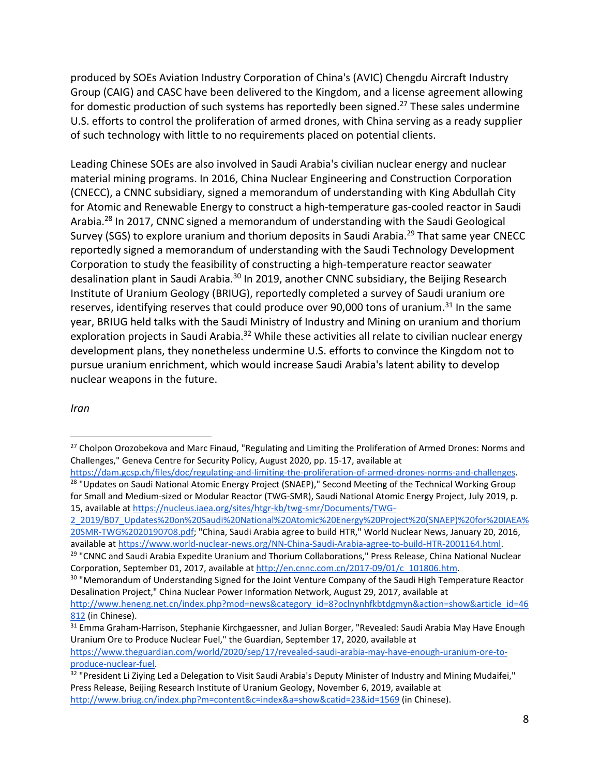produced by SOEs Aviation Industry Corporation of China's (AVIC) Chengdu Aircraft Industry Group (CAIG) and CASC have been delivered to the Kingdom, and a license agreement allowing for domestic production of such systems has reportedly been signed.<sup>27</sup> These sales undermine U.S. efforts to control the proliferation of armed drones, with China serving as a ready supplier of such technology with little to no requirements placed on potential clients.

Leading Chinese SOEs are also involved in Saudi Arabia's civilian nuclear energy and nuclear material mining programs. In 2016, China Nuclear Engineering and Construction Corporation (CNECC), a CNNC subsidiary, signed a memorandum of understanding with King Abdullah City for Atomic and Renewable Energy to construct a high‐temperature gas‐cooled reactor in Saudi Arabia.28 In 2017, CNNC signed a memorandum of understanding with the Saudi Geological Survey (SGS) to explore uranium and thorium deposits in Saudi Arabia.<sup>29</sup> That same year CNECC reportedly signed a memorandum of understanding with the Saudi Technology Development Corporation to study the feasibility of constructing a high‐temperature reactor seawater desalination plant in Saudi Arabia.<sup>30</sup> In 2019, another CNNC subsidiary, the Beijing Research Institute of Uranium Geology (BRIUG), reportedly completed a survey of Saudi uranium ore reserves, identifying reserves that could produce over 90,000 tons of uranium.<sup>31</sup> In the same year, BRIUG held talks with the Saudi Ministry of Industry and Mining on uranium and thorium exploration projects in Saudi Arabia.<sup>32</sup> While these activities all relate to civilian nuclear energy development plans, they nonetheless undermine U.S. efforts to convince the Kingdom not to pursue uranium enrichment, which would increase Saudi Arabia's latent ability to develop nuclear weapons in the future.

#### *Iran*

<sup>&</sup>lt;sup>27</sup> Cholpon Orozobekova and Marc Finaud, "Regulating and Limiting the Proliferation of Armed Drones: Norms and Challenges," Geneva Centre for Security Policy, August 2020, pp. 15‐17, available at

https://dam.gcsp.ch/files/doc/regulating-and-limiting-the-proliferation-of-armed-drones-norms-and-challenges. <sup>28</sup> "Updates on Saudi National Atomic Energy Project (SNAEP)," Second Meeting of the Technical Working Group for Small and Medium‐sized or Modular Reactor (TWG‐SMR), Saudi National Atomic Energy Project, July 2019, p. 15, available at https://nucleus.iaea.org/sites/htgr‐kb/twg‐smr/Documents/TWG‐

<sup>2</sup>\_2019/B07\_Updates%20on%20Saudi%20National%20Atomic%20Energy%20Project%20(SNAEP)%20for%20IAEA% 20SMR‐TWG%2020190708.pdf; "China, Saudi Arabia agree to build HTR," World Nuclear News, January 20, 2016, available at https://www.world‐nuclear‐news.org/NN‐China‐Saudi‐Arabia‐agree‐to‐build‐HTR‐2001164.html.

<sup>&</sup>lt;sup>29</sup> "CNNC and Saudi Arabia Expedite Uranium and Thorium Collaborations," Press Release, China National Nuclear Corporation, September 01, 2017, available at http://en.cnnc.com.cn/2017‐09/01/c\_101806.htm.

<sup>&</sup>lt;sup>30</sup> "Memorandum of Understanding Signed for the Joint Venture Company of the Saudi High Temperature Reactor Desalination Project," China Nuclear Power Information Network, August 29, 2017, available at http://www.heneng.net.cn/index.php?mod=news&category\_id=8?oclnynhfkbtdgmyn&action=show&article\_id=46 812 (in Chinese).

<sup>31</sup> Emma Graham-Harrison, Stephanie Kirchgaessner, and Julian Borger, "Revealed: Saudi Arabia May Have Enough Uranium Ore to Produce Nuclear Fuel," the Guardian, September 17, 2020, available at https://www.theguardian.com/world/2020/sep/17/revealed-saudi-arabia-may-have-enough-uranium-ore-toproduce‐nuclear‐fuel.

<sup>&</sup>lt;sup>32</sup> "President Li Ziying Led a Delegation to Visit Saudi Arabia's Deputy Minister of Industry and Mining Mudaifei," Press Release, Beijing Research Institute of Uranium Geology, November 6, 2019, available at http://www.briug.cn/index.php?m=content&c=index&a=show&catid=23&id=1569 (in Chinese).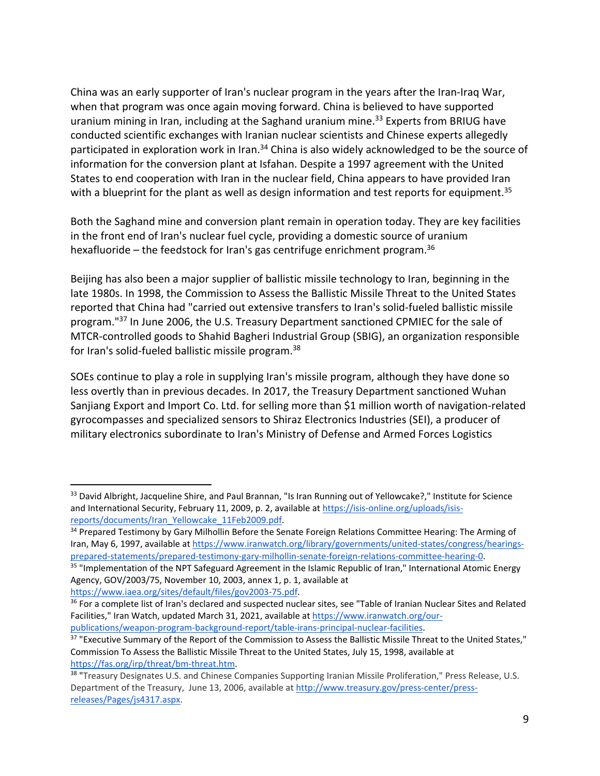China was an early supporter of Iran's nuclear program in the years after the Iran‐Iraq War, when that program was once again moving forward. China is believed to have supported uranium mining in Iran, including at the Saghand uranium mine.<sup>33</sup> Experts from BRIUG have conducted scientific exchanges with Iranian nuclear scientists and Chinese experts allegedly participated in exploration work in Iran.<sup>34</sup> China is also widely acknowledged to be the source of information for the conversion plant at Isfahan. Despite a 1997 agreement with the United States to end cooperation with Iran in the nuclear field, China appears to have provided Iran with a blueprint for the plant as well as design information and test reports for equipment.<sup>35</sup>

Both the Saghand mine and conversion plant remain in operation today. They are key facilities in the front end of Iran's nuclear fuel cycle, providing a domestic source of uranium hexafluoride – the feedstock for Iran's gas centrifuge enrichment program.<sup>36</sup>

Beijing has also been a major supplier of ballistic missile technology to Iran, beginning in the late 1980s. In 1998, the Commission to Assess the Ballistic Missile Threat to the United States reported that China had "carried out extensive transfers to Iran's solid‐fueled ballistic missile program."37 In June 2006, the U.S. Treasury Department sanctioned CPMIEC for the sale of MTCR‐controlled goods to Shahid Bagheri Industrial Group (SBIG), an organization responsible for Iran's solid-fueled ballistic missile program.<sup>38</sup>

SOEs continue to play a role in supplying Iran's missile program, although they have done so less overtly than in previous decades. In 2017, the Treasury Department sanctioned Wuhan Sanjiang Export and Import Co. Ltd. for selling more than \$1 million worth of navigation‐related gyrocompasses and specialized sensors to Shiraz Electronics Industries (SEI), a producer of military electronics subordinate to Iran's Ministry of Defense and Armed Forces Logistics

https://www.iaea.org/sites/default/files/gov2003‐75.pdf.

<sup>33</sup> David Albright, Jacqueline Shire, and Paul Brannan, "Is Iran Running out of Yellowcake?," Institute for Science and International Security, February 11, 2009, p. 2, available at https://isis-online.org/uploads/isisreports/documents/Iran\_Yellowcake\_11Feb2009.pdf.

<sup>&</sup>lt;sup>34</sup> Prepared Testimony by Gary Milhollin Before the Senate Foreign Relations Committee Hearing: The Arming of Iran, May 6, 1997, available at https://www.iranwatch.org/library/governments/united-states/congress/hearingsprepared‐statements/prepared‐testimony‐gary‐milhollin‐senate‐foreign‐relations‐committee‐hearing‐0.

<sup>&</sup>lt;sup>35</sup> "Implementation of the NPT Safeguard Agreement in the Islamic Republic of Iran," International Atomic Energy Agency, GOV/2003/75, November 10, 2003, annex 1, p. 1, available at

<sup>&</sup>lt;sup>36</sup> For a complete list of Iran's declared and suspected nuclear sites, see "Table of Iranian Nuclear Sites and Related Facilities," Iran Watch, updated March 31, 2021, available at https://www.iranwatch.org/our‐ publications/weapon‐program‐background‐report/table‐irans‐principal‐nuclear‐facilities.

<sup>&</sup>lt;sup>37</sup> "Executive Summary of the Report of the Commission to Assess the Ballistic Missile Threat to the United States," Commission To Assess the Ballistic Missile Threat to the United States, July 15, 1998, available at https://fas.org/irp/threat/bm‐threat.htm.

<sup>&</sup>lt;sup>38</sup> "Treasury Designates U.S. and Chinese Companies Supporting Iranian Missile Proliferation," Press Release, U.S. Department of the Treasury, June 13, 2006, available at http://www.treasury.gov/press‐center/press‐ releases/Pages/js4317.aspx.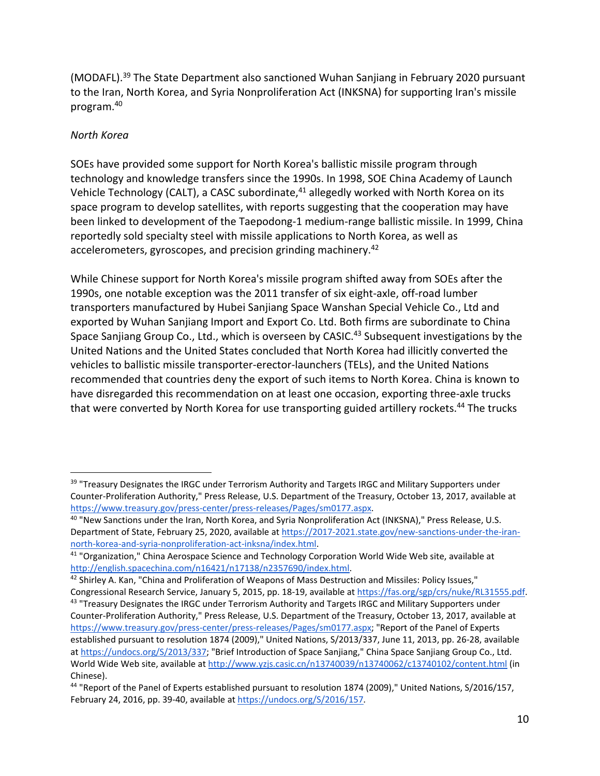(MODAFL).39 The State Department also sanctioned Wuhan Sanjiang in February 2020 pursuant to the Iran, North Korea, and Syria Nonproliferation Act (INKSNA) for supporting Iran's missile program.40

#### *North Korea*

1

SOEs have provided some support for North Korea's ballistic missile program through technology and knowledge transfers since the 1990s. In 1998, SOE China Academy of Launch Vehicle Technology (CALT), a CASC subordinate,<sup>41</sup> allegedly worked with North Korea on its space program to develop satellites, with reports suggesting that the cooperation may have been linked to development of the Taepodong‐1 medium‐range ballistic missile. In 1999, China reportedly sold specialty steel with missile applications to North Korea, as well as accelerometers, gyroscopes, and precision grinding machinery.<sup>42</sup>

While Chinese support for North Korea's missile program shifted away from SOEs after the 1990s, one notable exception was the 2011 transfer of six eight‐axle, off‐road lumber transporters manufactured by Hubei Sanjiang Space Wanshan Special Vehicle Co., Ltd and exported by Wuhan Sanjiang Import and Export Co. Ltd. Both firms are subordinate to China Space Sanjiang Group Co., Ltd., which is overseen by CASIC.<sup>43</sup> Subsequent investigations by the United Nations and the United States concluded that North Korea had illicitly converted the vehicles to ballistic missile transporter‐erector‐launchers (TELs), and the United Nations recommended that countries deny the export of such items to North Korea. China is known to have disregarded this recommendation on at least one occasion, exporting three‐axle trucks that were converted by North Korea for use transporting guided artillery rockets.<sup>44</sup> The trucks

42 Shirley A. Kan, "China and Proliferation of Weapons of Mass Destruction and Missiles: Policy Issues," Congressional Research Service, January 5, 2015, pp. 18‐19, available at https://fas.org/sgp/crs/nuke/RL31555.pdf. 43 "Treasury Designates the IRGC under Terrorism Authority and Targets IRGC and Military Supporters under Counter‐Proliferation Authority," Press Release, U.S. Department of the Treasury, October 13, 2017, available at https://www.treasury.gov/press‐center/press‐releases/Pages/sm0177.aspx; "Report of the Panel of Experts established pursuant to resolution 1874 (2009)," United Nations, S/2013/337, June 11, 2013, pp. 26‐28, available at https://undocs.org/S/2013/337; "Brief Introduction of Space Sanjiang," China Space Sanjiang Group Co., Ltd. World Wide Web site, available at http://www.yzjs.casic.cn/n13740039/n13740062/c13740102/content.html (in Chinese).

<sup>&</sup>lt;sup>39</sup> "Treasury Designates the IRGC under Terrorism Authority and Targets IRGC and Military Supporters under Counter‐Proliferation Authority," Press Release, U.S. Department of the Treasury, October 13, 2017, available at https://www.treasury.gov/press‐center/press‐releases/Pages/sm0177.aspx.

<sup>&</sup>lt;sup>40</sup> "New Sanctions under the Iran, North Korea, and Syria Nonproliferation Act (INKSNA)," Press Release, U.S. Department of State, February 25, 2020, available at https://2017-2021.state.gov/new-sanctions-under-the-irannorth-korea-and-syria-nonproliferation-act-inksna/index.html.

<sup>41 &</sup>quot;Organization," China Aerospace Science and Technology Corporation World Wide Web site, available at http://english.spacechina.com/n16421/n17138/n2357690/index.html.

<sup>44</sup> "Report of the Panel of Experts established pursuant to resolution 1874 (2009)," United Nations, S/2016/157, February 24, 2016, pp. 39-40, available at https://undocs.org/S/2016/157.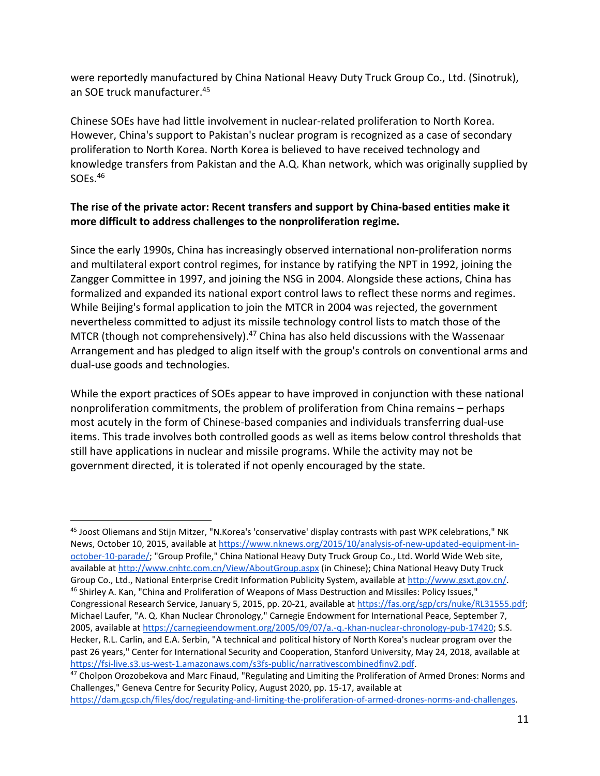were reportedly manufactured by China National Heavy Duty Truck Group Co., Ltd. (Sinotruk), an SOE truck manufacturer.45

Chinese SOEs have had little involvement in nuclear‐related proliferation to North Korea. However, China's support to Pakistan's nuclear program is recognized as a case of secondary proliferation to North Korea. North Korea is believed to have received technology and knowledge transfers from Pakistan and the A.Q. Khan network, which was originally supplied by SOEs.<sup>46</sup>

### **The rise of the private actor: Recent transfers and support by China‐based entities make it more difficult to address challenges to the nonproliferation regime.**

Since the early 1990s, China has increasingly observed international non‐proliferation norms and multilateral export control regimes, for instance by ratifying the NPT in 1992, joining the Zangger Committee in 1997, and joining the NSG in 2004. Alongside these actions, China has formalized and expanded its national export control laws to reflect these norms and regimes. While Beijing's formal application to join the MTCR in 2004 was rejected, the government nevertheless committed to adjust its missile technology control lists to match those of the MTCR (though not comprehensively).<sup>47</sup> China has also held discussions with the Wassenaar Arrangement and has pledged to align itself with the group's controls on conventional arms and dual‐use goods and technologies.

While the export practices of SOEs appear to have improved in conjunction with these national nonproliferation commitments, the problem of proliferation from China remains – perhaps most acutely in the form of Chinese‐based companies and individuals transferring dual‐use items. This trade involves both controlled goods as well as items below control thresholds that still have applications in nuclear and missile programs. While the activity may not be government directed, it is tolerated if not openly encouraged by the state.

<sup>45</sup> Joost Oliemans and Stijn Mitzer, "N.Korea's 'conservative' display contrasts with past WPK celebrations," NK News, October 10, 2015, available at https://www.nknews.org/2015/10/analysis-of-new-updated-equipment-inoctober‐10‐parade/; "Group Profile," China National Heavy Duty Truck Group Co., Ltd. World Wide Web site, available at http://www.cnhtc.com.cn/View/AboutGroup.aspx (in Chinese); China National Heavy Duty Truck Group Co., Ltd., National Enterprise Credit Information Publicity System, available at http://www.gsxt.gov.cn/. <sup>46</sup> Shirley A. Kan, "China and Proliferation of Weapons of Mass Destruction and Missiles: Policy Issues," Congressional Research Service, January 5, 2015, pp. 20‐21, available at https://fas.org/sgp/crs/nuke/RL31555.pdf; Michael Laufer, "A. Q. Khan Nuclear Chronology," Carnegie Endowment for International Peace, September 7, 2005, available at https://carnegieendowment.org/2005/09/07/a.‐q.‐khan‐nuclear‐chronology‐pub‐17420; S.S. Hecker, R.L. Carlin, and E.A. Serbin, "A technical and political history of North Korea's nuclear program over the past 26 years," Center for International Security and Cooperation, Stanford University, May 24, 2018, available at https://fsi‐live.s3.us‐west‐1.amazonaws.com/s3fs‐public/narrativescombinedfinv2.pdf.

<sup>&</sup>lt;sup>47</sup> Cholpon Orozobekova and Marc Finaud, "Regulating and Limiting the Proliferation of Armed Drones: Norms and Challenges," Geneva Centre for Security Policy, August 2020, pp. 15‐17, available at https://dam.gcsp.ch/files/doc/regulating-and-limiting-the-proliferation-of-armed-drones-norms-and-challenges.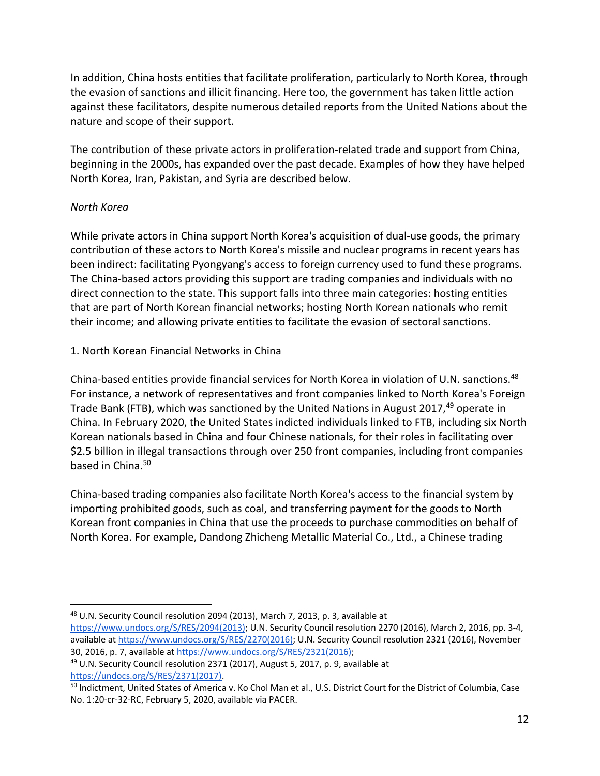In addition, China hosts entities that facilitate proliferation, particularly to North Korea, through the evasion of sanctions and illicit financing. Here too, the government has taken little action against these facilitators, despite numerous detailed reports from the United Nations about the nature and scope of their support.

The contribution of these private actors in proliferation-related trade and support from China, beginning in the 2000s, has expanded over the past decade. Examples of how they have helped North Korea, Iran, Pakistan, and Syria are described below.

#### *North Korea*

1

While private actors in China support North Korea's acquisition of dual-use goods, the primary contribution of these actors to North Korea's missile and nuclear programs in recent years has been indirect: facilitating Pyongyang's access to foreign currency used to fund these programs. The China‐based actors providing this support are trading companies and individuals with no direct connection to the state. This support falls into three main categories: hosting entities that are part of North Korean financial networks; hosting North Korean nationals who remit their income; and allowing private entities to facilitate the evasion of sectoral sanctions.

1. North Korean Financial Networks in China

China-based entities provide financial services for North Korea in violation of U.N. sanctions.<sup>48</sup> For instance, a network of representatives and front companies linked to North Korea's Foreign Trade Bank (FTB), which was sanctioned by the United Nations in August 2017,<sup>49</sup> operate in China. In February 2020, the United States indicted individuals linked to FTB, including six North Korean nationals based in China and four Chinese nationals, for their roles in facilitating over \$2.5 billion in illegal transactions through over 250 front companies, including front companies based in China.<sup>50</sup>

China‐based trading companies also facilitate North Korea's access to the financial system by importing prohibited goods, such as coal, and transferring payment for the goods to North Korean front companies in China that use the proceeds to purchase commodities on behalf of North Korea. For example, Dandong Zhicheng Metallic Material Co., Ltd., a Chinese trading

<sup>48</sup> U.N. Security Council resolution 2094 (2013), March 7, 2013, p. 3, available at

https://www.undocs.org/S/RES/2094(2013); U.N. Security Council resolution 2270 (2016), March 2, 2016, pp. 3‐4, available at https://www.undocs.org/S/RES/2270(2016); U.N. Security Council resolution 2321 (2016), November 30, 2016, p. 7, available at https://www.undocs.org/S/RES/2321(2016);

<sup>49</sup> U.N. Security Council resolution 2371 (2017), August 5, 2017, p. 9, available at https://undocs.org/S/RES/2371(2017).

<sup>&</sup>lt;sup>50</sup> Indictment, United States of America v. Ko Chol Man et al., U.S. District Court for the District of Columbia, Case No. 1:20‐cr‐32‐RC, February 5, 2020, available via PACER.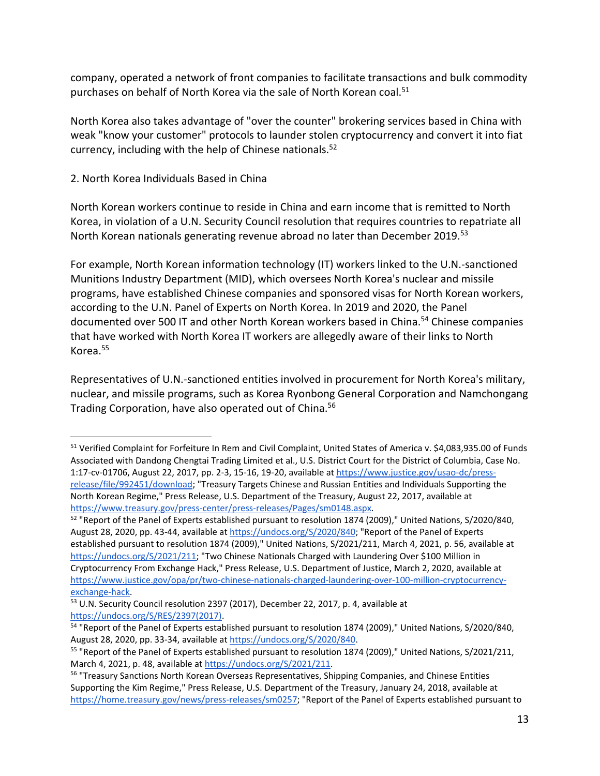company, operated a network of front companies to facilitate transactions and bulk commodity purchases on behalf of North Korea via the sale of North Korean coal.<sup>51</sup>

North Korea also takes advantage of "over the counter" brokering services based in China with weak "know your customer" protocols to launder stolen cryptocurrency and convert it into fiat currency, including with the help of Chinese nationals.<sup>52</sup>

#### 2. North Korea Individuals Based in China

 $\overline{a}$ 

North Korean workers continue to reside in China and earn income that is remitted to North Korea, in violation of a U.N. Security Council resolution that requires countries to repatriate all North Korean nationals generating revenue abroad no later than December 2019.53

For example, North Korean information technology (IT) workers linked to the U.N.‐sanctioned Munitions Industry Department (MID), which oversees North Korea's nuclear and missile programs, have established Chinese companies and sponsored visas for North Korean workers, according to the U.N. Panel of Experts on North Korea. In 2019 and 2020, the Panel documented over 500 IT and other North Korean workers based in China.54 Chinese companies that have worked with North Korea IT workers are allegedly aware of their links to North Korea.55

Representatives of U.N.‐sanctioned entities involved in procurement for North Korea's military, nuclear, and missile programs, such as Korea Ryonbong General Corporation and Namchongang Trading Corporation, have also operated out of China.<sup>56</sup>

<sup>51</sup> Verified Complaint for Forfeiture In Rem and Civil Complaint, United States of America v. \$4,083,935.00 of Funds Associated with Dandong Chengtai Trading Limited et al., U.S. District Court for the District of Columbia, Case No. 1:17-cv-01706, August 22, 2017, pp. 2-3, 15-16, 19-20, available at https://www.justice.gov/usao-dc/pressrelease/file/992451/download; "Treasury Targets Chinese and Russian Entities and Individuals Supporting the North Korean Regime," Press Release, U.S. Department of the Treasury, August 22, 2017, available at https://www.treasury.gov/press‐center/press‐releases/Pages/sm0148.aspx.

<sup>&</sup>lt;sup>52</sup> "Report of the Panel of Experts established pursuant to resolution 1874 (2009)," United Nations, S/2020/840, August 28, 2020, pp. 43‐44, available at https://undocs.org/S/2020/840; "Report of the Panel of Experts established pursuant to resolution 1874 (2009)," United Nations, S/2021/211, March 4, 2021, p. 56, available at https://undocs.org/S/2021/211; "Two Chinese Nationals Charged with Laundering Over \$100 Million in Cryptocurrency From Exchange Hack," Press Release, U.S. Department of Justice, March 2, 2020, available at https://www.justice.gov/opa/pr/two‐chinese‐nationals‐charged‐laundering‐over‐100‐million‐cryptocurrency‐ exchange‐hack.

<sup>53</sup> U.N. Security Council resolution 2397 (2017), December 22, 2017, p. 4, available at https://undocs.org/S/RES/2397(2017).

<sup>&</sup>lt;sup>54</sup> "Report of the Panel of Experts established pursuant to resolution 1874 (2009)," United Nations, S/2020/840, August 28, 2020, pp. 33‐34, available at https://undocs.org/S/2020/840.

<sup>&</sup>lt;sup>55</sup> "Report of the Panel of Experts established pursuant to resolution 1874 (2009)," United Nations, S/2021/211, March 4, 2021, p. 48, available at https://undocs.org/S/2021/211.

<sup>&</sup>lt;sup>56</sup> "Treasury Sanctions North Korean Overseas Representatives, Shipping Companies, and Chinese Entities Supporting the Kim Regime," Press Release, U.S. Department of the Treasury, January 24, 2018, available at https://home.treasury.gov/news/press‐releases/sm0257; "Report of the Panel of Experts established pursuant to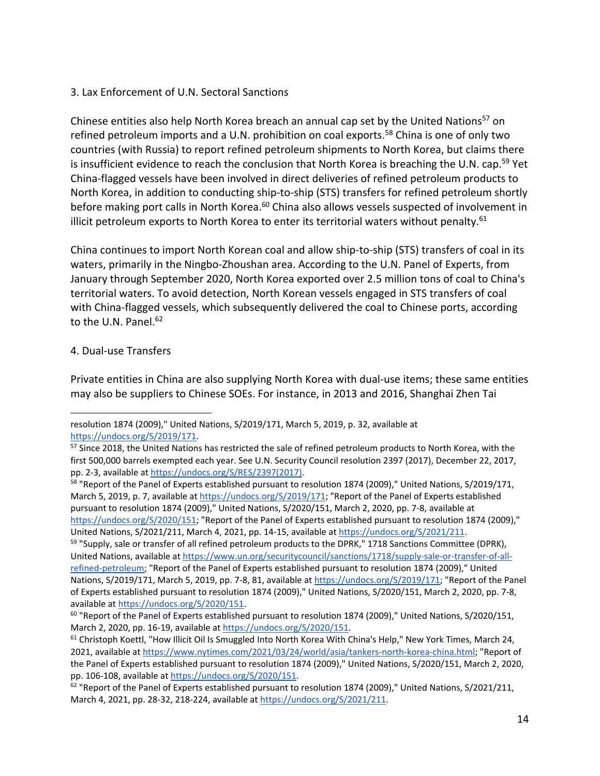#### 3. Lax Enforcement of U.N. Sectoral Sanctions

Chinese entities also help North Korea breach an annual cap set by the United Nations<sup>57</sup> on refined petroleum imports and a U.N. prohibition on coal exports.<sup>58</sup> China is one of only two countries (with Russia) to report refined petroleum shipments to North Korea, but claims there is insufficient evidence to reach the conclusion that North Korea is breaching the U.N. cap.<sup>59</sup> Yet China‐flagged vessels have been involved in direct deliveries of refined petroleum products to North Korea, in addition to conducting ship‐to‐ship (STS) transfers for refined petroleum shortly before making port calls in North Korea.<sup>60</sup> China also allows vessels suspected of involvement in illicit petroleum exports to North Korea to enter its territorial waters without penalty. $61$ 

China continues to import North Korean coal and allow ship‐to‐ship (STS) transfers of coal in its waters, primarily in the Ningbo‐Zhoushan area. According to the U.N. Panel of Experts, from January through September 2020, North Korea exported over 2.5 million tons of coal to China's territorial waters. To avoid detection, North Korean vessels engaged in STS transfers of coal with China-flagged vessels, which subsequently delivered the coal to Chinese ports, according to the U.N. Panel.<sup>62</sup>

### 4. Dual‐use Transfers

Private entities in China are also supplying North Korea with dual‐use items; these same entities may also be suppliers to Chinese SOEs. For instance, in 2013 and 2016, Shanghai Zhen Tai

<sup>1</sup> resolution 1874 (2009)," United Nations, S/2019/171, March 5, 2019, p. 32, available at https://undocs.org/S/2019/171.

<sup>&</sup>lt;sup>57</sup> Since 2018, the United Nations has restricted the sale of refined petroleum products to North Korea, with the first 500,000 barrels exempted each year. See U.N. Security Council resolution 2397 (2017), December 22, 2017, pp. 2‐3, available at https://undocs.org/S/RES/2397(2017).

<sup>&</sup>lt;sup>58</sup> "Report of the Panel of Experts established pursuant to resolution 1874 (2009)," United Nations, S/2019/171, March 5, 2019, p. 7, available at https://undocs.org/S/2019/171; "Report of the Panel of Experts established pursuant to resolution 1874 (2009)," United Nations, S/2020/151, March 2, 2020, pp. 7‐8, available at https://undocs.org/S/2020/151; "Report of the Panel of Experts established pursuant to resolution 1874 (2009)," United Nations, S/2021/211, March 4, 2021, pp. 14‐15, available at https://undocs.org/S/2021/211.

<sup>&</sup>lt;sup>59</sup> "Supply, sale or transfer of all refined petroleum products to the DPRK," 1718 Sanctions Committee (DPRK), United Nations, available at https://www.un.org/securitycouncil/sanctions/1718/supply‐sale‐or‐transfer‐of‐all‐ refined‐petroleum; "Report of the Panel of Experts established pursuant to resolution 1874 (2009)," United Nations, S/2019/171, March 5, 2019, pp. 7-8, 81, available at https://undocs.org/S/2019/171; "Report of the Panel of Experts established pursuant to resolution 1874 (2009)," United Nations, S/2020/151, March 2, 2020, pp. 7‐8, available at https://undocs.org/S/2020/151.

 $60$  "Report of the Panel of Experts established pursuant to resolution 1874 (2009)," United Nations, S/2020/151, March 2, 2020, pp. 16‐19, available at https://undocs.org/S/2020/151.

<sup>&</sup>lt;sup>61</sup> Christoph Koettl, "How Illicit Oil Is Smuggled Into North Korea With China's Help," New York Times, March 24, 2021, available at https://www.nytimes.com/2021/03/24/world/asia/tankers-north-korea-china.html; "Report of the Panel of Experts established pursuant to resolution 1874 (2009)," United Nations, S/2020/151, March 2, 2020, pp. 106‐108, available at https://undocs.org/S/2020/151.

<sup>&</sup>lt;sup>62</sup> "Report of the Panel of Experts established pursuant to resolution 1874 (2009)," United Nations, S/2021/211, March 4, 2021, pp. 28‐32, 218‐224, available at https://undocs.org/S/2021/211.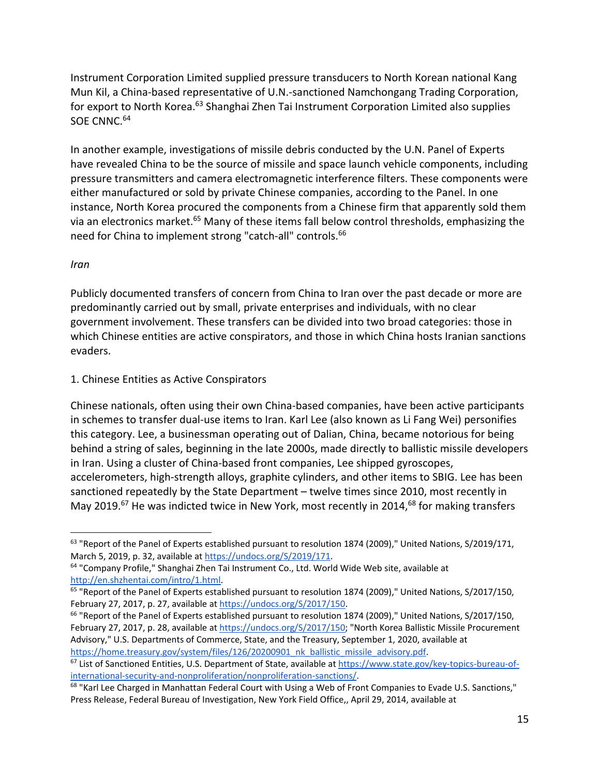Instrument Corporation Limited supplied pressure transducers to North Korean national Kang Mun Kil, a China‐based representative of U.N.‐sanctioned Namchongang Trading Corporation, for export to North Korea.<sup>63</sup> Shanghai Zhen Tai Instrument Corporation Limited also supplies SOE CNNC.<sup>64</sup>

In another example, investigations of missile debris conducted by the U.N. Panel of Experts have revealed China to be the source of missile and space launch vehicle components, including pressure transmitters and camera electromagnetic interference filters. These components were either manufactured or sold by private Chinese companies, according to the Panel. In one instance, North Korea procured the components from a Chinese firm that apparently sold them via an electronics market.<sup>65</sup> Many of these items fall below control thresholds, emphasizing the need for China to implement strong "catch-all" controls.<sup>66</sup>

*Iran*

 $\overline{a}$ 

Publicly documented transfers of concern from China to Iran over the past decade or more are predominantly carried out by small, private enterprises and individuals, with no clear government involvement. These transfers can be divided into two broad categories: those in which Chinese entities are active conspirators, and those in which China hosts Iranian sanctions evaders.

#### 1. Chinese Entities as Active Conspirators

Chinese nationals, often using their own China‐based companies, have been active participants in schemes to transfer dual‐use items to Iran. Karl Lee (also known as Li Fang Wei) personifies this category. Lee, a businessman operating out of Dalian, China, became notorious for being behind a string of sales, beginning in the late 2000s, made directly to ballistic missile developers in Iran. Using a cluster of China‐based front companies, Lee shipped gyroscopes, accelerometers, high‐strength alloys, graphite cylinders, and other items to SBIG. Lee has been sanctioned repeatedly by the State Department – twelve times since 2010, most recently in May 2019.<sup>67</sup> He was indicted twice in New York, most recently in 2014,<sup>68</sup> for making transfers

<sup>&</sup>lt;sup>63</sup> "Report of the Panel of Experts established pursuant to resolution 1874 (2009)," United Nations, S/2019/171, March 5, 2019, p. 32, available at https://undocs.org/S/2019/171.

<sup>&</sup>lt;sup>64</sup> "Company Profile," Shanghai Zhen Tai Instrument Co., Ltd. World Wide Web site, available at http://en.shzhentai.com/intro/1.html.

<sup>&</sup>lt;sup>65</sup> "Report of the Panel of Experts established pursuant to resolution 1874 (2009)," United Nations, S/2017/150, February 27, 2017, p. 27, available at https://undocs.org/S/2017/150.

<sup>&</sup>lt;sup>66</sup> "Report of the Panel of Experts established pursuant to resolution 1874 (2009)," United Nations, S/2017/150, February 27, 2017, p. 28, available at https://undocs.org/S/2017/150; "North Korea Ballistic Missile Procurement Advisory," U.S. Departments of Commerce, State, and the Treasury, September 1, 2020, available at https://home.treasury.gov/system/files/126/20200901\_nk\_ballistic\_missile\_advisory.pdf.

<sup>67</sup> List of Sanctioned Entities, U.S. Department of State, available at https://www.state.gov/key-topics-bureau-ofinternational-security-and-nonproliferation/nonproliferation-sanctions/.

<sup>&</sup>lt;sup>68</sup> "Karl Lee Charged in Manhattan Federal Court with Using a Web of Front Companies to Evade U.S. Sanctions," Press Release, Federal Bureau of Investigation, New York Field Office,, April 29, 2014, available at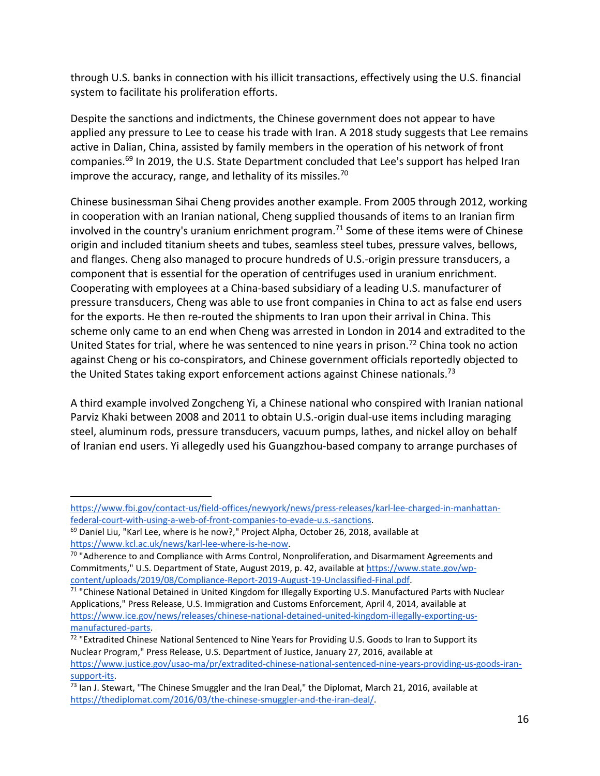through U.S. banks in connection with his illicit transactions, effectively using the U.S. financial system to facilitate his proliferation efforts.

Despite the sanctions and indictments, the Chinese government does not appear to have applied any pressure to Lee to cease his trade with Iran. A 2018 study suggests that Lee remains active in Dalian, China, assisted by family members in the operation of his network of front companies.69 In 2019, the U.S. State Department concluded that Lee's support has helped Iran improve the accuracy, range, and lethality of its missiles.<sup>70</sup>

Chinese businessman Sihai Cheng provides another example. From 2005 through 2012, working in cooperation with an Iranian national, Cheng supplied thousands of items to an Iranian firm involved in the country's uranium enrichment program.<sup>71</sup> Some of these items were of Chinese origin and included titanium sheets and tubes, seamless steel tubes, pressure valves, bellows, and flanges. Cheng also managed to procure hundreds of U.S.‐origin pressure transducers, a component that is essential for the operation of centrifuges used in uranium enrichment. Cooperating with employees at a China‐based subsidiary of a leading U.S. manufacturer of pressure transducers, Cheng was able to use front companies in China to act as false end users for the exports. He then re-routed the shipments to Iran upon their arrival in China. This scheme only came to an end when Cheng was arrested in London in 2014 and extradited to the United States for trial, where he was sentenced to nine years in prison.<sup>72</sup> China took no action against Cheng or his co-conspirators, and Chinese government officials reportedly objected to the United States taking export enforcement actions against Chinese nationals.<sup>73</sup>

A third example involved Zongcheng Yi, a Chinese national who conspired with Iranian national Parviz Khaki between 2008 and 2011 to obtain U.S.‐origin dual‐use items including maraging steel, aluminum rods, pressure transducers, vacuum pumps, lathes, and nickel alloy on behalf of Iranian end users. Yi allegedly used his Guangzhou‐based company to arrange purchases of

 $\overline{a}$ 

<sup>71</sup> "Chinese National Detained in United Kingdom for Illegally Exporting U.S. Manufactured Parts with Nuclear Applications," Press Release, U.S. Immigration and Customs Enforcement, April 4, 2014, available at https://www.ice.gov/news/releases/chinese‐national‐detained‐united‐kingdom‐illegally‐exporting‐us‐ manufactured‐parts.

https://www.fbi.gov/contact‐us/field‐offices/newyork/news/press‐releases/karl‐lee‐charged‐in‐manhattan‐ federal-court-with-using-a-web-of-front-companies-to-evade-u.s.-sanctions.

<sup>&</sup>lt;sup>69</sup> Daniel Liu, "Karl Lee, where is he now?," Project Alpha, October 26, 2018, available at https://www.kcl.ac.uk/news/karl-lee-where-is-he-now.

<sup>&</sup>lt;sup>70</sup> "Adherence to and Compliance with Arms Control, Nonproliferation, and Disarmament Agreements and Commitments," U.S. Department of State, August 2019, p. 42, available at https://www.state.gov/wp‐ content/uploads/2019/08/Compliance‐Report‐2019‐August‐19‐Unclassified‐Final.pdf.

 $72$  "Extradited Chinese National Sentenced to Nine Years for Providing U.S. Goods to Iran to Support its Nuclear Program," Press Release, U.S. Department of Justice, January 27, 2016, available at https://www.justice.gov/usao-ma/pr/extradited-chinese-national-sentenced-nine-years-providing-us-goods-iransupport‐its.

<sup>73</sup> Ian J. Stewart, "The Chinese Smuggler and the Iran Deal," the Diplomat, March 21, 2016, available at https://thediplomat.com/2016/03/the-chinese-smuggler-and-the-iran-deal/.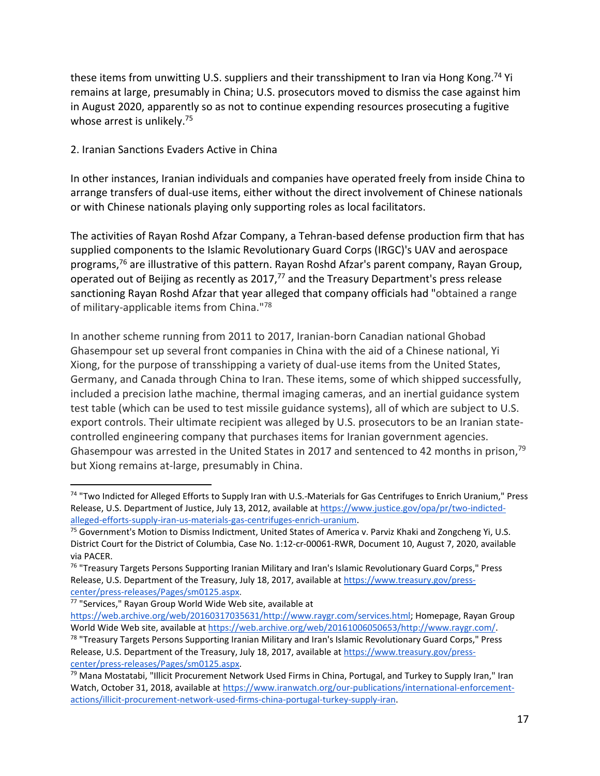these items from unwitting U.S. suppliers and their transshipment to Iran via Hong Kong.<sup>74</sup> Yi remains at large, presumably in China; U.S. prosecutors moved to dismiss the case against him in August 2020, apparently so as not to continue expending resources prosecuting a fugitive whose arrest is unlikely.<sup>75</sup>

2. Iranian Sanctions Evaders Active in China

In other instances, Iranian individuals and companies have operated freely from inside China to arrange transfers of dual‐use items, either without the direct involvement of Chinese nationals or with Chinese nationals playing only supporting roles as local facilitators.

The activities of Rayan Roshd Afzar Company, a Tehran‐based defense production firm that has supplied components to the Islamic Revolutionary Guard Corps (IRGC)'s UAV and aerospace programs,<sup>76</sup> are illustrative of this pattern. Rayan Roshd Afzar's parent company, Rayan Group, operated out of Beijing as recently as 2017,<sup>77</sup> and the Treasury Department's press release sanctioning Rayan Roshd Afzar that year alleged that company officials had "obtained a range of military-applicable items from China."78

In another scheme running from 2011 to 2017, Iranian‐born Canadian national Ghobad Ghasempour set up several front companies in China with the aid of a Chinese national, Yi Xiong, for the purpose of transshipping a variety of dual‐use items from the United States, Germany, and Canada through China to Iran. These items, some of which shipped successfully, included a precision lathe machine, thermal imaging cameras, and an inertial guidance system test table (which can be used to test missile guidance systems), all of which are subject to U.S. export controls. Their ultimate recipient was alleged by U.S. prosecutors to be an Iranian state‐ controlled engineering company that purchases items for Iranian government agencies. Ghasempour was arrested in the United States in 2017 and sentenced to 42 months in prison,<sup>79</sup> but Xiong remains at‐large, presumably in China.

1

<sup>74 &</sup>quot;Two Indicted for Alleged Efforts to Supply Iran with U.S.-Materials for Gas Centrifuges to Enrich Uranium," Press Release, U.S. Department of Justice, July 13, 2012, available at https://www.justice.gov/opa/pr/two-indictedalleged‐efforts‐supply‐iran‐us‐materials‐gas‐centrifuges‐enrich‐uranium.

<sup>&</sup>lt;sup>75</sup> Government's Motion to Dismiss Indictment, United States of America v. Parviz Khaki and Zongcheng Yi, U.S. District Court for the District of Columbia, Case No. 1:12‐cr‐00061‐RWR, Document 10, August 7, 2020, available via PACER.

<sup>&</sup>lt;sup>76</sup> "Treasury Targets Persons Supporting Iranian Military and Iran's Islamic Revolutionary Guard Corps," Press Release, U.S. Department of the Treasury, July 18, 2017, available at https://www.treasury.gov/press‐ center/press‐releases/Pages/sm0125.aspx.

<sup>77</sup> "Services," Rayan Group World Wide Web site, available at

https://web.archive.org/web/20160317035631/http://www.raygr.com/services.html; Homepage, Rayan Group World Wide Web site, available at https://web.archive.org/web/20161006050653/http://www.raygr.com/.

<sup>&</sup>lt;sup>78</sup> "Treasury Targets Persons Supporting Iranian Military and Iran's Islamic Revolutionary Guard Corps," Press Release, U.S. Department of the Treasury, July 18, 2017, available at https://www.treasury.gov/presscenter/press‐releases/Pages/sm0125.aspx.

<sup>&</sup>lt;sup>79</sup> Mana Mostatabi, "Illicit Procurement Network Used Firms in China, Portugal, and Turkey to Supply Iran," Iran Watch, October 31, 2018, available at https://www.iranwatch.org/our-publications/international-enforcementactions/illicit-procurement-network-used-firms-china-portugal-turkey-supply-iran.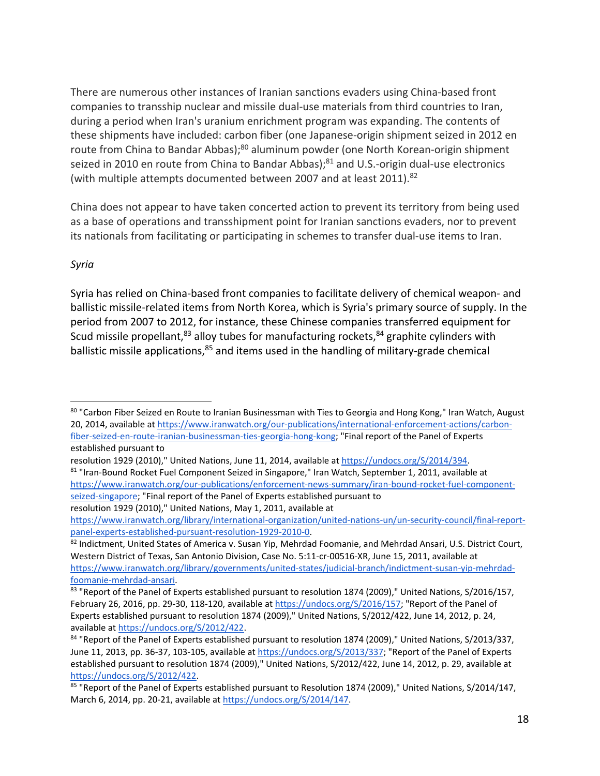There are numerous other instances of Iranian sanctions evaders using China‐based front companies to transship nuclear and missile dual‐use materials from third countries to Iran, during a period when Iran's uranium enrichment program was expanding. The contents of these shipments have included: carbon fiber (one Japanese‐origin shipment seized in 2012 en route from China to Bandar Abbas);<sup>80</sup> aluminum powder (one North Korean-origin shipment seized in 2010 en route from China to Bandar Abbas);<sup>81</sup> and U.S.-origin dual-use electronics (with multiple attempts documented between 2007 and at least 2011).<sup>82</sup>

China does not appear to have taken concerted action to prevent its territory from being used as a base of operations and transshipment point for Iranian sanctions evaders, nor to prevent its nationals from facilitating or participating in schemes to transfer dual‐use items to Iran.

#### *Syria*

 $\overline{a}$ 

Syria has relied on China‐based front companies to facilitate delivery of chemical weapon‐ and ballistic missile-related items from North Korea, which is Syria's primary source of supply. In the period from 2007 to 2012, for instance, these Chinese companies transferred equipment for Scud missile propellant,  $83$  alloy tubes for manufacturing rockets,  $84$  graphite cylinders with ballistic missile applications,<sup>85</sup> and items used in the handling of military-grade chemical

<sup>80 &</sup>quot;Carbon Fiber Seized en Route to Iranian Businessman with Ties to Georgia and Hong Kong," Iran Watch, August 20, 2014, available at https://www.iranwatch.org/our-publications/international-enforcement-actions/carbonfiber-seized-en-route-iranian-businessman-ties-georgia-hong-kong; "Final report of the Panel of Experts established pursuant to

resolution 1929 (2010)," United Nations, June 11, 2014, available at https://undocs.org/S/2014/394. 81 "Iran-Bound Rocket Fuel Component Seized in Singapore," Iran Watch, September 1, 2011, available at https://www.iranwatch.org/our-publications/enforcement-news-summary/iran-bound-rocket-fuel-componentseized‐singapore; "Final report of the Panel of Experts established pursuant to

resolution 1929 (2010)," United Nations, May 1, 2011, available at https://www.iranwatch.org/library/international-organization/united-nations-un/un-security-council/final-reportpanel‐experts‐established‐pursuant‐resolution‐1929‐2010‐0.

<sup>82</sup> Indictment, United States of America v. Susan Yip, Mehrdad Foomanie, and Mehrdad Ansari, U.S. District Court, Western District of Texas, San Antonio Division, Case No. 5:11‐cr‐00516‐XR, June 15, 2011, available at https://www.iranwatch.org/library/governments/united-states/judicial-branch/indictment-susan-yip-mehrdadfoomanie‐mehrdad‐ansari.

<sup>&</sup>lt;sup>83</sup> "Report of the Panel of Experts established pursuant to resolution 1874 (2009)," United Nations, S/2016/157, February 26, 2016, pp. 29-30, 118-120, available at https://undocs.org/S/2016/157; "Report of the Panel of Experts established pursuant to resolution 1874 (2009)," United Nations, S/2012/422, June 14, 2012, p. 24, available at https://undocs.org/S/2012/422.

<sup>84 &</sup>quot;Report of the Panel of Experts established pursuant to resolution 1874 (2009)," United Nations, S/2013/337, June 11, 2013, pp. 36-37, 103-105, available at https://undocs.org/S/2013/337; "Report of the Panel of Experts established pursuant to resolution 1874 (2009)," United Nations, S/2012/422, June 14, 2012, p. 29, available at https://undocs.org/S/2012/422.

<sup>85 &</sup>quot;Report of the Panel of Experts established pursuant to Resolution 1874 (2009)," United Nations, S/2014/147, March 6, 2014, pp. 20-21, available at https://undocs.org/S/2014/147.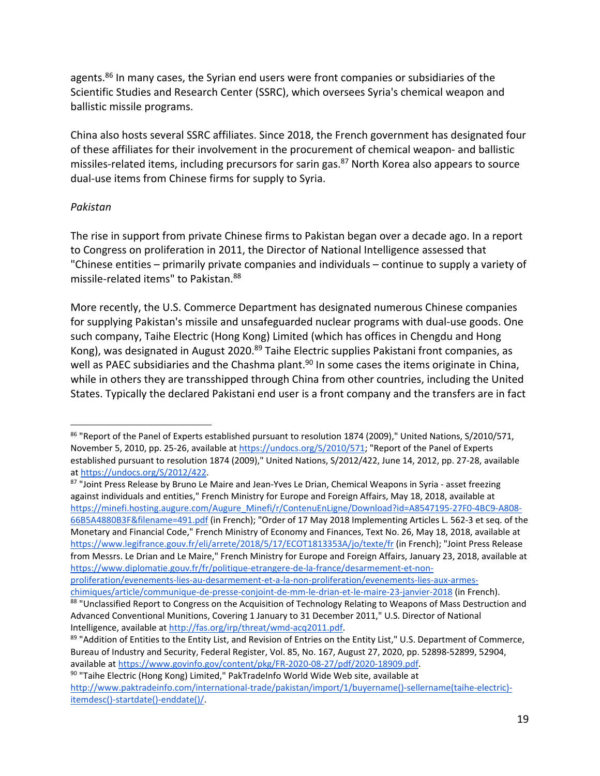agents.<sup>86</sup> In many cases, the Syrian end users were front companies or subsidiaries of the Scientific Studies and Research Center (SSRC), which oversees Syria's chemical weapon and ballistic missile programs.

China also hosts several SSRC affiliates. Since 2018, the French government has designated four of these affiliates for their involvement in the procurement of chemical weapon‐ and ballistic missiles-related items, including precursors for sarin gas.<sup>87</sup> North Korea also appears to source dual‐use items from Chinese firms for supply to Syria.

#### *Pakistan*

 $\overline{a}$ 

The rise in support from private Chinese firms to Pakistan began over a decade ago. In a report to Congress on proliferation in 2011, the Director of National Intelligence assessed that "Chinese entities – primarily private companies and individuals – continue to supply a variety of missile‐related items" to Pakistan.88

More recently, the U.S. Commerce Department has designated numerous Chinese companies for supplying Pakistan's missile and unsafeguarded nuclear programs with dual-use goods. One such company, Taihe Electric (Hong Kong) Limited (which has offices in Chengdu and Hong Kong), was designated in August 2020.<sup>89</sup> Taihe Electric supplies Pakistani front companies, as well as PAEC subsidiaries and the Chashma plant.<sup>90</sup> In some cases the items originate in China, while in others they are transshipped through China from other countries, including the United States. Typically the declared Pakistani end user is a front company and the transfers are in fact

87 "Joint Press Release by Bruno Le Maire and Jean-Yves Le Drian, Chemical Weapons in Syria - asset freezing against individuals and entities," French Ministry for Europe and Foreign Affairs, May 18, 2018, available at https://minefi.hosting.augure.com/Augure\_Minefi/r/ContenuEnLigne/Download?id=A8547195-27F0-4BC9-A808-66B5A4880B3F&filename=491.pdf (in French); "Order of 17 May 2018 Implementing Articles L. 562‐3 et seq. of the Monetary and Financial Code," French Ministry of Economy and Finances, Text No. 26, May 18, 2018, available at https://www.legifrance.gouv.fr/eli/arrete/2018/5/17/ECOT1813353A/jo/texte/fr (in French); "Joint Press Release from Messrs. Le Drian and Le Maire," French Ministry for Europe and Foreign Affairs, January 23, 2018, available at https://www.diplomatie.gouv.fr/fr/politique-etrangere-de-la-france/desarmement-et-non-

<sup>86 &</sup>quot;Report of the Panel of Experts established pursuant to resolution 1874 (2009)," United Nations, S/2010/571, November 5, 2010, pp. 25‐26, available at https://undocs.org/S/2010/571; "Report of the Panel of Experts established pursuant to resolution 1874 (2009)," United Nations, S/2012/422, June 14, 2012, pp. 27‐28, available at https://undocs.org/S/2012/422.

proliferation/evenements‐lies‐au‐desarmement‐et‐a‐la‐non‐proliferation/evenements‐lies‐aux‐armes‐ chimiques/article/communique‐de‐presse‐conjoint‐de‐mm‐le‐drian‐et‐le‐maire‐23‐janvier‐2018 (in French).

<sup>88 &</sup>quot;Unclassified Report to Congress on the Acquisition of Technology Relating to Weapons of Mass Destruction and Advanced Conventional Munitions, Covering 1 January to 31 December 2011," U.S. Director of National Intelligence, available at http://fas.org/irp/threat/wmd‐acq2011.pdf.

<sup>89 &</sup>quot;Addition of Entities to the Entity List, and Revision of Entries on the Entity List," U.S. Department of Commerce, Bureau of Industry and Security, Federal Register, Vol. 85, No. 167, August 27, 2020, pp. 52898‐52899, 52904, available at https://www.govinfo.gov/content/pkg/FR‐2020‐08‐27/pdf/2020‐18909.pdf.

<sup>&</sup>lt;sup>90</sup> "Taihe Electric (Hong Kong) Limited," PakTradeInfo World Wide Web site, available at http://www.paktradeinfo.com/international-trade/pakistan/import/1/buyername()-sellername(taihe-electric)itemdesc()‐startdate()‐enddate()/.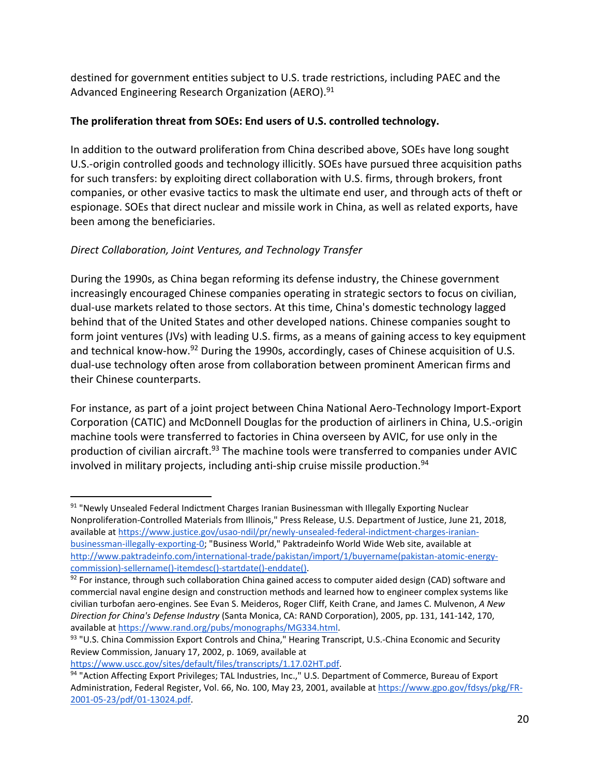destined for government entities subject to U.S. trade restrictions, including PAEC and the Advanced Engineering Research Organization (AERO).<sup>91</sup>

#### **The proliferation threat from SOEs: End users of U.S. controlled technology.**

In addition to the outward proliferation from China described above, SOEs have long sought U.S.‐origin controlled goods and technology illicitly. SOEs have pursued three acquisition paths for such transfers: by exploiting direct collaboration with U.S. firms, through brokers, front companies, or other evasive tactics to mask the ultimate end user, and through acts of theft or espionage. SOEs that direct nuclear and missile work in China, as well as related exports, have been among the beneficiaries.

## *Direct Collaboration, Joint Ventures, and Technology Transfer*

During the 1990s, as China began reforming its defense industry, the Chinese government increasingly encouraged Chinese companies operating in strategic sectors to focus on civilian, dual‐use markets related to those sectors. At this time, China's domestic technology lagged behind that of the United States and other developed nations. Chinese companies sought to form joint ventures (JVs) with leading U.S. firms, as a means of gaining access to key equipment and technical know-how.<sup>92</sup> During the 1990s, accordingly, cases of Chinese acquisition of U.S. dual‐use technology often arose from collaboration between prominent American firms and their Chinese counterparts.

For instance, as part of a joint project between China National Aero-Technology Import-Export Corporation (CATIC) and McDonnell Douglas for the production of airliners in China, U.S.‐origin machine tools were transferred to factories in China overseen by AVIC, for use only in the production of civilian aircraft.<sup>93</sup> The machine tools were transferred to companies under AVIC involved in military projects, including anti-ship cruise missile production.<sup>94</sup>

https://www.uscc.gov/sites/default/files/transcripts/1.17.02HT.pdf.

<sup>91 &</sup>quot;Newly Unsealed Federal Indictment Charges Iranian Businessman with Illegally Exporting Nuclear Nonproliferation‐Controlled Materials from Illinois," Press Release, U.S. Department of Justice, June 21, 2018, available at https://www.justice.gov/usao-ndil/pr/newly-unsealed-federal-indictment-charges-iranianbusinessman‐illegally‐exporting‐0; "Business World," Paktradeinfo World Wide Web site, available at http://www.paktradeinfo.com/international-trade/pakistan/import/1/buyername(pakistan-atomic-energycommission)‐sellername()‐itemdesc()‐startdate()‐enddate().

 $92$  For instance, through such collaboration China gained access to computer aided design (CAD) software and commercial naval engine design and construction methods and learned how to engineer complex systems like civilian turbofan aero‐engines. See Evan S. Meideros, Roger Cliff, Keith Crane, and James C. Mulvenon, *A New Direction for China's Defense Industry* (Santa Monica, CA: RAND Corporation), 2005, pp. 131, 141‐142, 170, available at https://www.rand.org/pubs/monographs/MG334.html.

<sup>93 &</sup>quot;U.S. China Commission Export Controls and China," Hearing Transcript, U.S.-China Economic and Security Review Commission, January 17, 2002, p. 1069, available at

<sup>94 &</sup>quot;Action Affecting Export Privileges; TAL Industries, Inc.," U.S. Department of Commerce, Bureau of Export Administration, Federal Register, Vol. 66, No. 100, May 23, 2001, available at https://www.gpo.gov/fdsys/pkg/FR‐ 2001‐05‐23/pdf/01‐13024.pdf.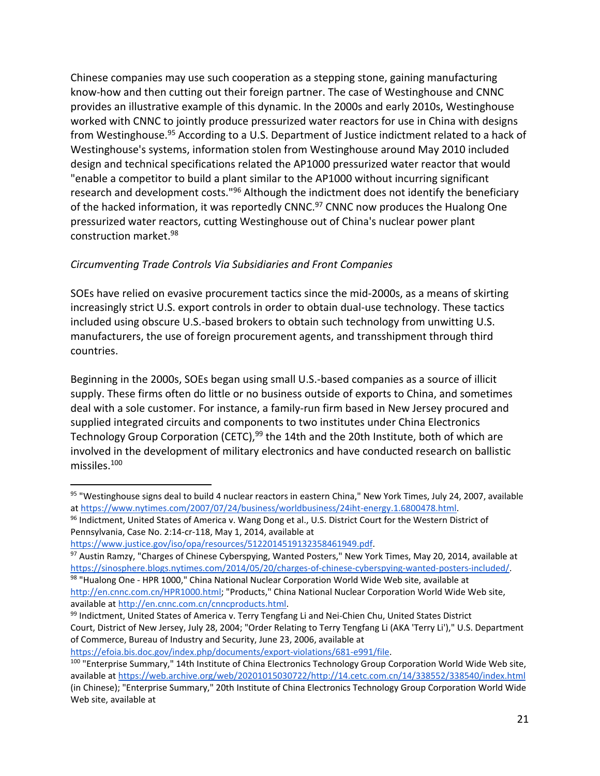Chinese companies may use such cooperation as a stepping stone, gaining manufacturing know-how and then cutting out their foreign partner. The case of Westinghouse and CNNC provides an illustrative example of this dynamic. In the 2000s and early 2010s, Westinghouse worked with CNNC to jointly produce pressurized water reactors for use in China with designs from Westinghouse.<sup>95</sup> According to a U.S. Department of Justice indictment related to a hack of Westinghouse's systems, information stolen from Westinghouse around May 2010 included design and technical specifications related the AP1000 pressurized water reactor that would "enable a competitor to build a plant similar to the AP1000 without incurring significant research and development costs.<sup>"96</sup> Although the indictment does not identify the beneficiary of the hacked information, it was reportedly CNNC.<sup>97</sup> CNNC now produces the Hualong One pressurized water reactors, cutting Westinghouse out of China's nuclear power plant construction market.98

### *Circumventing Trade Controls Via Subsidiaries and Front Companies*

SOEs have relied on evasive procurement tactics since the mid‐2000s, as a means of skirting increasingly strict U.S. export controls in order to obtain dual‐use technology. These tactics included using obscure U.S.‐based brokers to obtain such technology from unwitting U.S. manufacturers, the use of foreign procurement agents, and transshipment through third countries.

Beginning in the 2000s, SOEs began using small U.S.‐based companies as a source of illicit supply. These firms often do little or no business outside of exports to China, and sometimes deal with a sole customer. For instance, a family‐run firm based in New Jersey procured and supplied integrated circuits and components to two institutes under China Electronics Technology Group Corporation (CETC),<sup>99</sup> the 14th and the 20th Institute, both of which are involved in the development of military electronics and have conducted research on ballistic missiles.100

 $\overline{a}$ 

97 Austin Ramzy, "Charges of Chinese Cyberspying, Wanted Posters," New York Times, May 20, 2014, available at https://sinosphere.blogs.nytimes.com/2014/05/20/charges-of-chinese-cyberspying-wanted-posters-included/. 98 "Hualong One - HPR 1000," China National Nuclear Corporation World Wide Web site, available at

https://efoia.bis.doc.gov/index.php/documents/export-violations/681-e991/file.

<sup>95 &</sup>quot;Westinghouse signs deal to build 4 nuclear reactors in eastern China," New York Times, July 24, 2007, available at https://www.nytimes.com/2007/07/24/business/worldbusiness/24iht-energy.1.6800478.html.

<sup>96</sup> Indictment, United States of America v. Wang Dong et al., U.S. District Court for the Western District of Pennsylvania, Case No. 2:14‐cr‐118, May 1, 2014, available at

https://www.justice.gov/iso/opa/resources/5122014519132358461949.pdf.

http://en.cnnc.com.cn/HPR1000.html; "Products," China National Nuclear Corporation World Wide Web site, available at http://en.cnnc.com.cn/cnncproducts.html.

<sup>99</sup> Indictment, United States of America v. Terry Tengfang Li and Nei-Chien Chu, United States District Court, District of New Jersey, July 28, 2004; "Order Relating to Terry Tengfang Li (AKA 'Terry Li')," U.S. Department of Commerce, Bureau of Industry and Security, June 23, 2006, available at

<sup>&</sup>lt;sup>100</sup> "Enterprise Summary," 14th Institute of China Electronics Technology Group Corporation World Wide Web site, available at https://web.archive.org/web/20201015030722/http://14.cetc.com.cn/14/338552/338540/index.html (in Chinese); "Enterprise Summary," 20th Institute of China Electronics Technology Group Corporation World Wide Web site, available at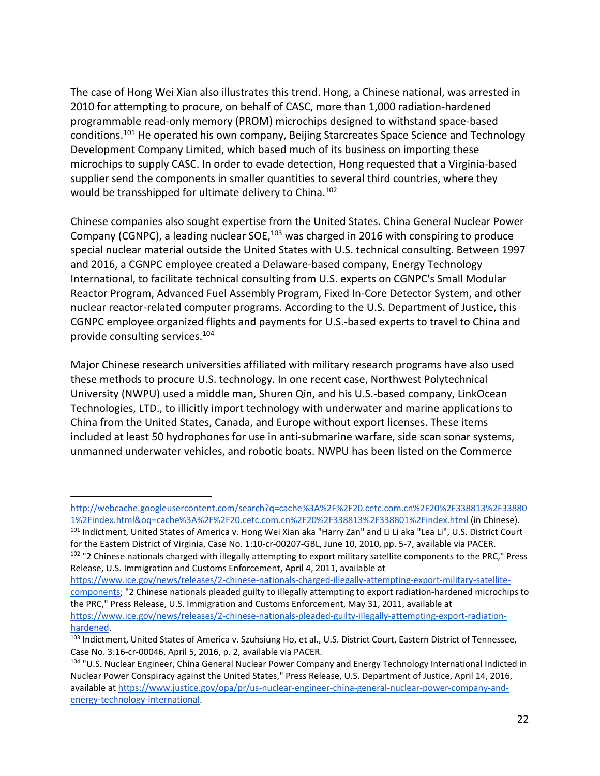The case of Hong Wei Xian also illustrates this trend. Hong, a Chinese national, was arrested in 2010 for attempting to procure, on behalf of CASC, more than 1,000 radiation‐hardened programmable read‐only memory (PROM) microchips designed to withstand space‐based conditions.101 He operated his own company, Beijing Starcreates Space Science and Technology Development Company Limited, which based much of its business on importing these microchips to supply CASC. In order to evade detection, Hong requested that a Virginia‐based supplier send the components in smaller quantities to several third countries, where they would be transshipped for ultimate delivery to China.<sup>102</sup>

Chinese companies also sought expertise from the United States. China General Nuclear Power Company (CGNPC), a leading nuclear SOE,<sup>103</sup> was charged in 2016 with conspiring to produce special nuclear material outside the United States with U.S. technical consulting. Between 1997 and 2016, a CGNPC employee created a Delaware‐based company, Energy Technology International, to facilitate technical consulting from U.S. experts on CGNPC's Small Modular Reactor Program, Advanced Fuel Assembly Program, Fixed In‐Core Detector System, and other nuclear reactor‐related computer programs. According to the U.S. Department of Justice, this CGNPC employee organized flights and payments for U.S.‐based experts to travel to China and provide consulting services.104

Major Chinese research universities affiliated with military research programs have also used these methods to procure U.S. technology. In one recent case, Northwest Polytechnical University (NWPU) used a middle man, Shuren Qin, and his U.S.‐based company, LinkOcean Technologies, LTD., to illicitly import technology with underwater and marine applications to China from the United States, Canada, and Europe without export licenses. These items included at least 50 hydrophones for use in anti‐submarine warfare, side scan sonar systems, unmanned underwater vehicles, and robotic boats. NWPU has been listed on the Commerce

101 Indictment, United States of America v. Hong Wei Xian aka "Harry Zan" and Li Li aka "Lea Li", U.S. District Court for the Eastern District of Virginia, Case No. 1:10‐cr‐00207‐GBL, June 10, 2010, pp. 5‐7, available via PACER.  $102$  "2 Chinese nationals charged with illegally attempting to export military satellite components to the PRC," Press Release, U.S. Immigration and Customs Enforcement, April 4, 2011, available at

http://webcache.googleusercontent.com/search?q=cache%3A%2F%2F20.cetc.com.cn%2F20%2F338813%2F33880 1%2Findex.html&oq=cache%3A%2F%2F20.cetc.com.cn%2F20%2F338813%2F338801%2Findex.html (in Chinese).

https://www.ice.gov/news/releases/2-chinese-nationals-charged-illegally-attempting-export-military-satellitecomponents; "2 Chinese nationals pleaded guilty to illegally attempting to export radiation‐hardened microchips to the PRC," Press Release, U.S. Immigration and Customs Enforcement, May 31, 2011, available at https://www.ice.gov/news/releases/2-chinese-nationals-pleaded-guilty-illegally-attempting-export-radiation-

hardened.

<sup>103</sup> Indictment, United States of America v. Szuhsiung Ho, et al., U.S. District Court, Eastern District of Tennessee, Case No. 3:16‐cr‐00046, April 5, 2016, p. 2, available via PACER.

<sup>&</sup>lt;sup>104</sup> "U.S. Nuclear Engineer, China General Nuclear Power Company and Energy Technology International Indicted in Nuclear Power Conspiracy against the United States," Press Release, U.S. Department of Justice, April 14, 2016, available at https://www.justice.gov/opa/pr/us‐nuclear‐engineer‐china‐general‐nuclear‐power‐company‐and‐ energy‐technology‐international.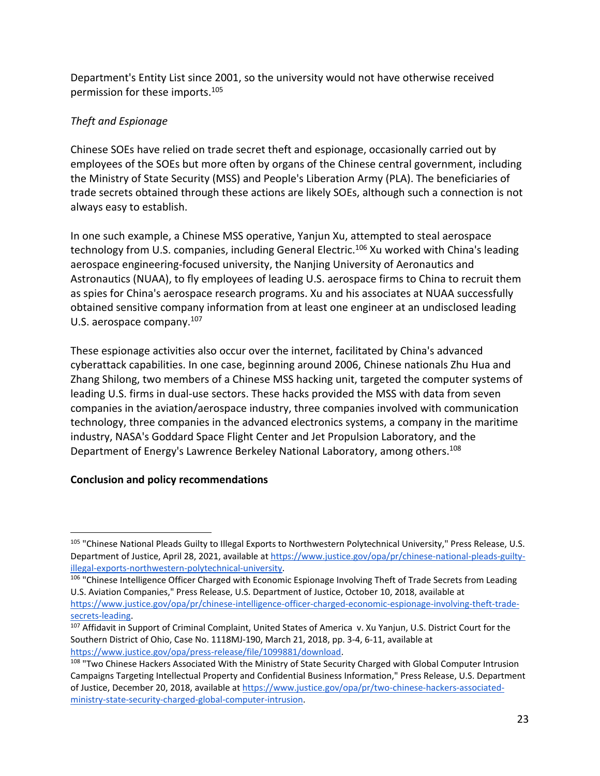Department's Entity List since 2001, so the university would not have otherwise received permission for these imports.105

## *Theft and Espionage*

Chinese SOEs have relied on trade secret theft and espionage, occasionally carried out by employees of the SOEs but more often by organs of the Chinese central government, including the Ministry of State Security (MSS) and People's Liberation Army (PLA). The beneficiaries of trade secrets obtained through these actions are likely SOEs, although such a connection is not always easy to establish.

In one such example, a Chinese MSS operative, Yanjun Xu, attempted to steal aerospace technology from U.S. companies, including General Electric.<sup>106</sup> Xu worked with China's leading aerospace engineering‐focused university, the Nanjing University of Aeronautics and Astronautics (NUAA), to fly employees of leading U.S. aerospace firms to China to recruit them as spies for China's aerospace research programs. Xu and his associates at NUAA successfully obtained sensitive company information from at least one engineer at an undisclosed leading U.S. aerospace company.<sup>107</sup>

These espionage activities also occur over the internet, facilitated by China's advanced cyberattack capabilities. In one case, beginning around 2006, Chinese nationals Zhu Hua and Zhang Shilong, two members of a Chinese MSS hacking unit, targeted the computer systems of leading U.S. firms in dual-use sectors. These hacks provided the MSS with data from seven companies in the aviation/aerospace industry, three companies involved with communication technology, three companies in the advanced electronics systems, a company in the maritime industry, NASA's Goddard Space Flight Center and Jet Propulsion Laboratory, and the Department of Energy's Lawrence Berkeley National Laboratory, among others.<sup>108</sup>

## **Conclusion and policy recommendations**

<sup>&</sup>lt;sup>105</sup> "Chinese National Pleads Guilty to Illegal Exports to Northwestern Polytechnical University," Press Release, U.S. Department of Justice, April 28, 2021, available at https://www.justice.gov/opa/pr/chinese-national-pleads-guiltyillegal‐exports‐northwestern‐polytechnical‐university.

<sup>106 &</sup>quot;Chinese Intelligence Officer Charged with Economic Espionage Involving Theft of Trade Secrets from Leading U.S. Aviation Companies," Press Release, U.S. Department of Justice, October 10, 2018, available at https://www.justice.gov/opa/pr/chinese-intelligence-officer-charged-economic-espionage-involving-theft-tradesecrets‐leading.

<sup>107</sup> Affidavit in Support of Criminal Complaint, United States of America v. Xu Yanjun, U.S. District Court for the Southern District of Ohio, Case No. 1118MJ‐190, March 21, 2018, pp. 3‐4, 6‐11, available at https://www.justice.gov/opa/press‐release/file/1099881/download.

<sup>&</sup>lt;sup>108</sup> "Two Chinese Hackers Associated With the Ministry of State Security Charged with Global Computer Intrusion Campaigns Targeting Intellectual Property and Confidential Business Information," Press Release, U.S. Department of Justice, December 20, 2018, available at https://www.justice.gov/opa/pr/two-chinese-hackers-associatedministry‐state‐security‐charged‐global‐computer‐intrusion.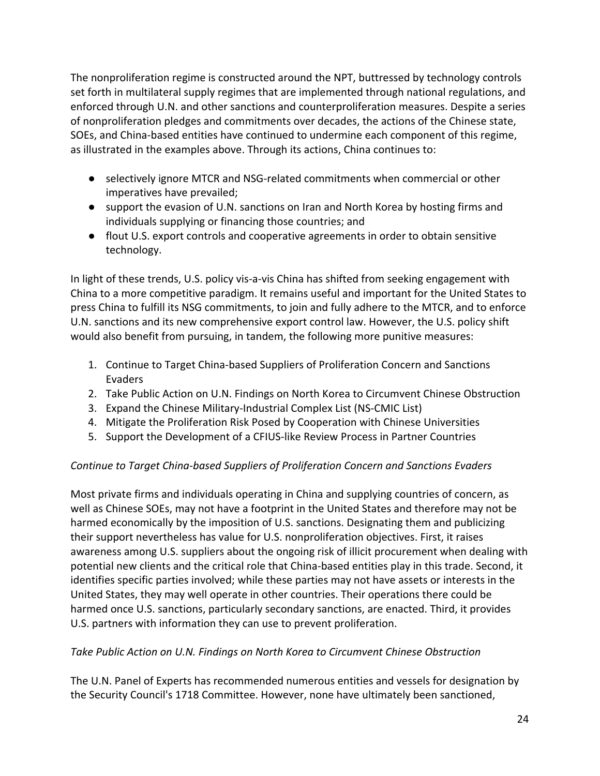The nonproliferation regime is constructed around the NPT, buttressed by technology controls set forth in multilateral supply regimes that are implemented through national regulations, and enforced through U.N. and other sanctions and counterproliferation measures. Despite a series of nonproliferation pledges and commitments over decades, the actions of the Chinese state, SOEs, and China‐based entities have continued to undermine each component of this regime, as illustrated in the examples above. Through its actions, China continues to:

- selectively ignore MTCR and NSG-related commitments when commercial or other imperatives have prevailed;
- support the evasion of U.N. sanctions on Iran and North Korea by hosting firms and individuals supplying or financing those countries; and
- flout U.S. export controls and cooperative agreements in order to obtain sensitive technology.

In light of these trends, U.S. policy vis‐a‐vis China has shifted from seeking engagement with China to a more competitive paradigm. It remains useful and important for the United States to press China to fulfill its NSG commitments, to join and fully adhere to the MTCR, and to enforce U.N. sanctions and its new comprehensive export control law. However, the U.S. policy shift would also benefit from pursuing, in tandem, the following more punitive measures:

- 1. Continue to Target China‐based Suppliers of Proliferation Concern and Sanctions Evaders
- 2. Take Public Action on U.N. Findings on North Korea to Circumvent Chinese Obstruction
- 3. Expand the Chinese Military‐Industrial Complex List (NS‐CMIC List)
- 4. Mitigate the Proliferation Risk Posed by Cooperation with Chinese Universities
- 5. Support the Development of a CFIUS‐like Review Process in Partner Countries

## *Continue to Target China‐based Suppliers of Proliferation Concern and Sanctions Evaders*

Most private firms and individuals operating in China and supplying countries of concern, as well as Chinese SOEs, may not have a footprint in the United States and therefore may not be harmed economically by the imposition of U.S. sanctions. Designating them and publicizing their support nevertheless has value for U.S. nonproliferation objectives. First, it raises awareness among U.S. suppliers about the ongoing risk of illicit procurement when dealing with potential new clients and the critical role that China‐based entities play in this trade. Second, it identifies specific parties involved; while these parties may not have assets or interests in the United States, they may well operate in other countries. Their operations there could be harmed once U.S. sanctions, particularly secondary sanctions, are enacted. Third, it provides U.S. partners with information they can use to prevent proliferation.

#### *Take Public Action on U.N. Findings on North Korea to Circumvent Chinese Obstruction*

The U.N. Panel of Experts has recommended numerous entities and vessels for designation by the Security Council's 1718 Committee. However, none have ultimately been sanctioned,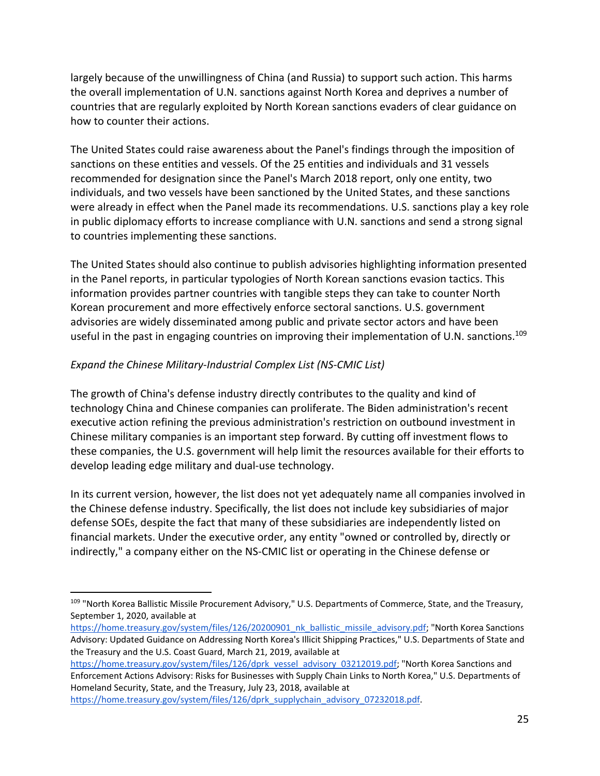largely because of the unwillingness of China (and Russia) to support such action. This harms the overall implementation of U.N. sanctions against North Korea and deprives a number of countries that are regularly exploited by North Korean sanctions evaders of clear guidance on how to counter their actions.

The United States could raise awareness about the Panel's findings through the imposition of sanctions on these entities and vessels. Of the 25 entities and individuals and 31 vessels recommended for designation since the Panel's March 2018 report, only one entity, two individuals, and two vessels have been sanctioned by the United States, and these sanctions were already in effect when the Panel made its recommendations. U.S. sanctions play a key role in public diplomacy efforts to increase compliance with U.N. sanctions and send a strong signal to countries implementing these sanctions.

The United States should also continue to publish advisories highlighting information presented in the Panel reports, in particular typologies of North Korean sanctions evasion tactics. This information provides partner countries with tangible steps they can take to counter North Korean procurement and more effectively enforce sectoral sanctions. U.S. government advisories are widely disseminated among public and private sector actors and have been useful in the past in engaging countries on improving their implementation of U.N. sanctions.<sup>109</sup>

### *Expand the Chinese Military‐Industrial Complex List (NS‐CMIC List)*

The growth of China's defense industry directly contributes to the quality and kind of technology China and Chinese companies can proliferate. The Biden administration's recent executive action refining the previous administration's restriction on outbound investment in Chinese military companies is an important step forward. By cutting off investment flows to these companies, the U.S. government will help limit the resources available for their efforts to develop leading edge military and dual‐use technology.

In its current version, however, the list does not yet adequately name all companies involved in the Chinese defense industry. Specifically, the list does not include key subsidiaries of major defense SOEs, despite the fact that many of these subsidiaries are independently listed on financial markets. Under the executive order, any entity "owned or controlled by, directly or indirectly," a company either on the NS‐CMIC list or operating in the Chinese defense or

https://home.treasury.gov/system/files/126/dprk\_supplychain\_advisory\_07232018.pdf.

<sup>109 &</sup>quot;North Korea Ballistic Missile Procurement Advisory," U.S. Departments of Commerce, State, and the Treasury, September 1, 2020, available at

https://home.treasury.gov/system/files/126/20200901\_nk\_ballistic\_missile\_advisory.pdf; "North Korea Sanctions Advisory: Updated Guidance on Addressing North Korea's Illicit Shipping Practices," U.S. Departments of State and the Treasury and the U.S. Coast Guard, March 21, 2019, available at

https://home.treasury.gov/system/files/126/dprk\_vessel\_advisory\_03212019.pdf; "North Korea Sanctions and Enforcement Actions Advisory: Risks for Businesses with Supply Chain Links to North Korea," U.S. Departments of Homeland Security, State, and the Treasury, July 23, 2018, available at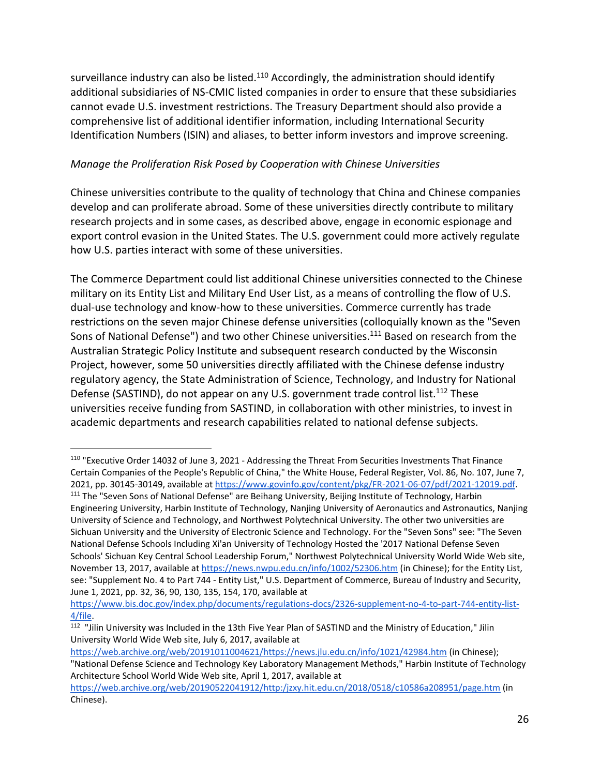surveillance industry can also be listed.<sup>110</sup> Accordingly, the administration should identify additional subsidiaries of NS‐CMIC listed companies in order to ensure that these subsidiaries cannot evade U.S. investment restrictions. The Treasury Department should also provide a comprehensive list of additional identifier information, including International Security Identification Numbers (ISIN) and aliases, to better inform investors and improve screening.

### *Manage the Proliferation Risk Posed by Cooperation with Chinese Universities*

Chinese universities contribute to the quality of technology that China and Chinese companies develop and can proliferate abroad. Some of these universities directly contribute to military research projects and in some cases, as described above, engage in economic espionage and export control evasion in the United States. The U.S. government could more actively regulate how U.S. parties interact with some of these universities.

The Commerce Department could list additional Chinese universities connected to the Chinese military on its Entity List and Military End User List, as a means of controlling the flow of U.S. dual‐use technology and know‐how to these universities. Commerce currently has trade restrictions on the seven major Chinese defense universities (colloquially known as the "Seven Sons of National Defense") and two other Chinese universities.<sup>111</sup> Based on research from the Australian Strategic Policy Institute and subsequent research conducted by the Wisconsin Project, however, some 50 universities directly affiliated with the Chinese defense industry regulatory agency, the State Administration of Science, Technology, and Industry for National Defense (SASTIND), do not appear on any U.S. government trade control list.<sup>112</sup> These universities receive funding from SASTIND, in collaboration with other ministries, to invest in academic departments and research capabilities related to national defense subjects.

 $\overline{a}$ 

https://web.archive.org/web/20191011004621/https://news.jlu.edu.cn/info/1021/42984.htm (in Chinese);

<sup>110</sup> "Executive Order 14032 of June 3, 2021 ‐ Addressing the Threat From Securities Investments That Finance Certain Companies of the People's Republic of China," the White House, Federal Register, Vol. 86, No. 107, June 7, 2021, pp. 30145‐30149, available at https://www.govinfo.gov/content/pkg/FR‐2021‐06‐07/pdf/2021‐12019.pdf. 111 The "Seven Sons of National Defense" are Beihang University, Beijing Institute of Technology, Harbin

Engineering University, Harbin Institute of Technology, Nanjing University of Aeronautics and Astronautics, Nanjing University of Science and Technology, and Northwest Polytechnical University. The other two universities are Sichuan University and the University of Electronic Science and Technology. For the "Seven Sons" see: "The Seven National Defense Schools Including Xi'an University of Technology Hosted the '2017 National Defense Seven Schools' Sichuan Key Central School Leadership Forum," Northwest Polytechnical University World Wide Web site, November 13, 2017, available at https://news.nwpu.edu.cn/info/1002/52306.htm (in Chinese); for the Entity List, see: "Supplement No. 4 to Part 744 ‐ Entity List," U.S. Department of Commerce, Bureau of Industry and Security, June 1, 2021, pp. 32, 36, 90, 130, 135, 154, 170, available at

https://www.bis.doc.gov/index.php/documents/regulations-docs/2326-supplement-no-4-to-part-744-entity-list-4/file.

<sup>112</sup> "Jilin University was Included in the 13th Five Year Plan of SASTIND and the Ministry of Education," Jilin University World Wide Web site, July 6, 2017, available at

<sup>&</sup>quot;National Defense Science and Technology Key Laboratory Management Methods," Harbin Institute of Technology Architecture School World Wide Web site, April 1, 2017, available at

https://web.archive.org/web/20190522041912/http:/jzxy.hit.edu.cn/2018/0518/c10586a208951/page.htm (in Chinese).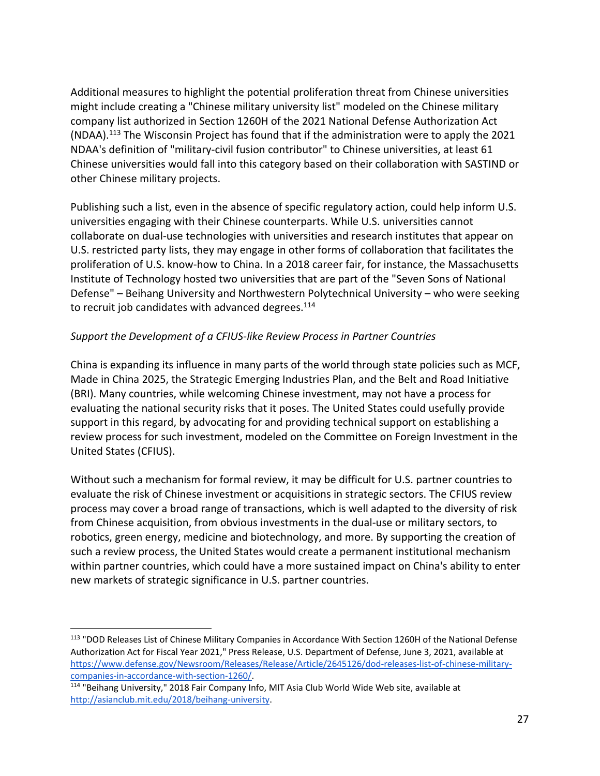Additional measures to highlight the potential proliferation threat from Chinese universities might include creating a "Chinese military university list" modeled on the Chinese military company list authorized in Section 1260H of the 2021 National Defense Authorization Act (NDAA).113 The Wisconsin Project has found that if the administration were to apply the 2021 NDAA's definition of "military‐civil fusion contributor" to Chinese universities, at least 61 Chinese universities would fall into this category based on their collaboration with SASTIND or other Chinese military projects.

Publishing such a list, even in the absence of specific regulatory action, could help inform U.S. universities engaging with their Chinese counterparts. While U.S. universities cannot collaborate on dual‐use technologies with universities and research institutes that appear on U.S. restricted party lists, they may engage in other forms of collaboration that facilitates the proliferation of U.S. know‐how to China. In a 2018 career fair, for instance, the Massachusetts Institute of Technology hosted two universities that are part of the "Seven Sons of National Defense" – Beihang University and Northwestern Polytechnical University – who were seeking to recruit job candidates with advanced degrees.<sup>114</sup>

### *Support the Development of a CFIUS‐like Review Process in Partner Countries*

China is expanding its influence in many parts of the world through state policies such as MCF, Made in China 2025, the Strategic Emerging Industries Plan, and the Belt and Road Initiative (BRI). Many countries, while welcoming Chinese investment, may not have a process for evaluating the national security risks that it poses. The United States could usefully provide support in this regard, by advocating for and providing technical support on establishing a review process for such investment, modeled on the Committee on Foreign Investment in the United States (CFIUS).

Without such a mechanism for formal review, it may be difficult for U.S. partner countries to evaluate the risk of Chinese investment or acquisitions in strategic sectors. The CFIUS review process may cover a broad range of transactions, which is well adapted to the diversity of risk from Chinese acquisition, from obvious investments in the dual‐use or military sectors, to robotics, green energy, medicine and biotechnology, and more. By supporting the creation of such a review process, the United States would create a permanent institutional mechanism within partner countries, which could have a more sustained impact on China's ability to enter new markets of strategic significance in U.S. partner countries.

1

<sup>113</sup> "DOD Releases List of Chinese Military Companies in Accordance With Section 1260H of the National Defense Authorization Act for Fiscal Year 2021," Press Release, U.S. Department of Defense, June 3, 2021, available at https://www.defense.gov/Newsroom/Releases/Release/Article/2645126/dod-releases-list-of-chinese-militarycompanies‐in‐accordance‐with‐section‐1260/.

<sup>114</sup> "Beihang University," 2018 Fair Company Info, MIT Asia Club World Wide Web site, available at http://asianclub.mit.edu/2018/beihang‐university.